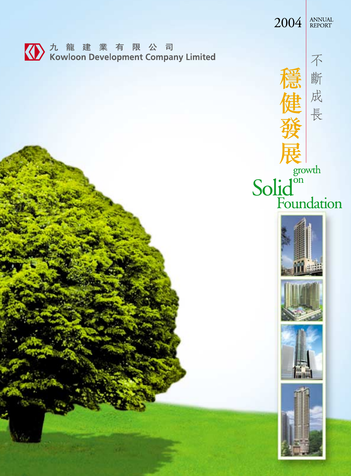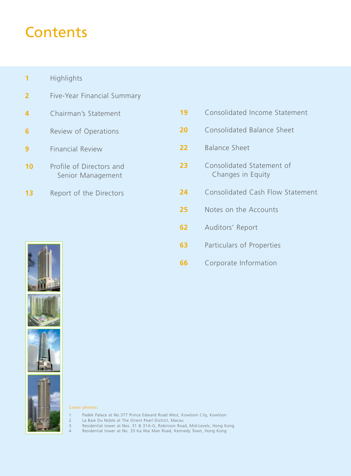## **Contents**

- Highlights
- Five-Year Financial Summary
- Chairman's Statement
- Review of Operations
- Financial Review
- Profile of Directors and Senior Management
- 13 Report of the Directors

| 19 | Consolidated Income Statement                  |
|----|------------------------------------------------|
| 20 | Consolidated Balance Sheet                     |
| 22 | <b>Balance Sheet</b>                           |
| 23 | Consolidated Statement of<br>Changes in Equity |
| 24 | <b>Consolidated Cash Flow Statement</b>        |
| 25 | Notes on the Accounts                          |
| 62 | Auditors' Report                               |
| 63 | Particulars of Properties                      |
| 66 | Corporate Information                          |







#### **Cover photos:**

- 1. Padek Palace at No.377 Prince Edward Road West, Kowloon City, Kowloon
- 
- 2. La Baie Du Noble at The Orient Pearl District, Macau<br>3. Residential tower at Nos. 31 & 31A-G, Robinson Road<br>4. Residential tower at No. 33 Ka Wai Man Road, Kenne 3. Residential tower at Nos. 31 & 31A-G, Robinson Road, Mid-Levels, Hong Kong
- 4. Residential tower at No. 33 Ka Wai Man Road, Kennedy Town, Hong Kong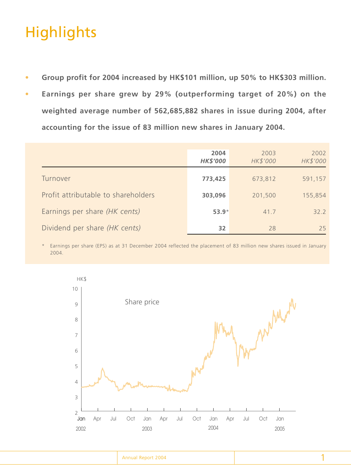# **Highlights**

- **Group profit for 2004 increased by HK\$101 million, up 50% to HK\$303 million.**
- **Earnings per share grew by 29% (outperforming target of 20%) on the weighted average number of 562,685,882 shares in issue during 2004, after accounting for the issue of 83 million new shares in January 2004.**

|                                     | 2004<br><b>HK\$'000</b> | 2003<br>HK\$'000 | 2002<br>HK\$'000 |
|-------------------------------------|-------------------------|------------------|------------------|
| Turnover                            | 773,425                 | 673,812          | 591,157          |
| Profit attributable to shareholders | 303,096                 | 201,500          | 155,854          |
| Earnings per share (HK cents)       | $53.9*$                 | 41.7             | 322              |
| Dividend per share (HK cents)       | 32                      | 28               | 25               |

\* Earnings per share (EPS) as at 31 December 2004 reflected the placement of 83 million new shares issued in January 2004.

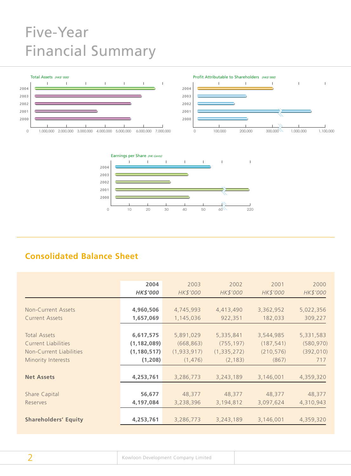# Five-Year Financial Summary





## **Consolidated Balance Sheet**

|                             | 2004            | 2003          | 2002          | 2001       | 2000       |
|-----------------------------|-----------------|---------------|---------------|------------|------------|
|                             | <b>HK\$'000</b> | HK\$'000      | HK\$'000      | HK\$'000   | HK\$'000   |
|                             |                 |               |               |            |            |
| Non-Current Assets          | 4,960,506       | 4,745,993     | 4,413,490     | 3,362,952  | 5,022,356  |
| <b>Current Assets</b>       | 1,657,069       | 1,145,036     | 922,351       | 182,033    | 309,227    |
|                             |                 |               |               |            |            |
| Total Assets                | 6,617,575       | 5,891,029     | 5,335,841     | 3,544,985  | 5,331,583  |
| <b>Current Liabilities</b>  | (1, 182, 089)   | (668, 863)    | (755, 197)    | (187, 541) | (580, 970) |
| Non-Current Liabilities     | (1, 180, 517)   | (1, 933, 917) | (1, 335, 272) | (210, 576) | (392, 010) |
| Minority Interests          | (1, 208)        | (1, 476)      | (2, 183)      | (867)      | 717        |
|                             |                 |               |               |            |            |
| <b>Net Assets</b>           | 4,253,761       | 3,286,773     | 3,243,189     | 3,146,001  | 4,359,320  |
|                             |                 |               |               |            |            |
| Share Capital               | 56,677          | 48,377        | 48,377        | 48,377     | 48,377     |
| Reserves                    | 4,197,084       | 3,238,396     | 3,194,812     | 3,097,624  | 4,310,943  |
|                             |                 |               |               |            |            |
| <b>Shareholders' Equity</b> | 4,253,761       | 3,286,773     | 3,243,189     | 3,146,001  | 4,359,320  |
|                             |                 |               |               |            |            |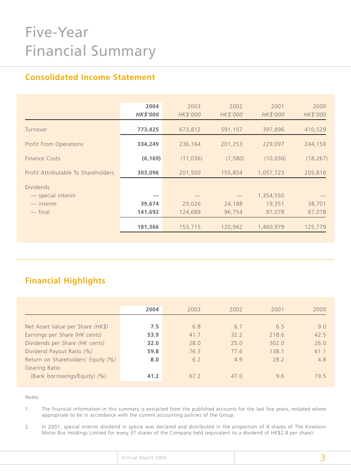# Five-Year Financial Summary

## **Consolidated Income Statement**

|                                     | 2004            | 2003      | 2002     | 2001      | 2000      |
|-------------------------------------|-----------------|-----------|----------|-----------|-----------|
|                                     | <b>HK\$'000</b> | HK\$'000  | HK\$'000 | HK\$'000  | HK\$'000  |
| Turnover                            | 773,425         | 673,812   | 591,157  | 397,896   | 410,529   |
| <b>Profit From Operations</b>       | 334,249         | 236,164   | 201,253  | 229,097   | 244,159   |
| Finance Costs                       | (6, 169)        | (11, 036) | (7,580)  | (10, 036) | (18, 267) |
| Profit Attributable To Shareholders | 303,096         | 201,500   | 155,854  | 1,057,723 | 205,816   |
| <b>Dividends</b>                    |                 |           |          |           |           |
| - special interim                   |                 |           |          | 1,354,550 |           |
| $-$ interim                         | 39,674          | 29,026    | 24,188   | 19,351    | 38,701    |
| $-$ final                           | 141,692         | 124,689   | 96,754   | 87,078    | 87,078    |
|                                     | 181,366         | 153,715   | 120,942  | 1,460,979 | 125,779   |

## **Financial Highlights**

| 2004 | 2003 | 2002 | 2001  | 2000 |
|------|------|------|-------|------|
|      |      |      |       |      |
| 7.5  | 6.8  | 6.7  | 6.5   | 9.0  |
| 53.9 | 41.7 | 32.2 | 218.6 | 42.5 |
| 32.0 | 28.0 | 25.0 | 302.0 | 26.0 |
| 59.8 | 76.3 | 77.6 | 138.1 | 61.1 |
| 8.0  | 6.2  | 4.9  | 28.2  | 4.8  |
|      |      |      |       |      |
| 41.2 | 67.2 | 47.0 | 9.6   | 19.5 |
|      |      |      |       |      |

*Notes:*

1. The financial information in this summary is extracted from the published accounts for the last five years, restated where appropriate to be in accordance with the current accounting policies of the Group.

2. In 2001, special interim dividend in specie was declared and distributed in the proportion of 4 shares of The Kowloon Motor Bus Holdings Limited for every 37 shares of the Company held (equivalent to a dividend of HK\$2.8 per share).

| Annual Report 2004 |  |
|--------------------|--|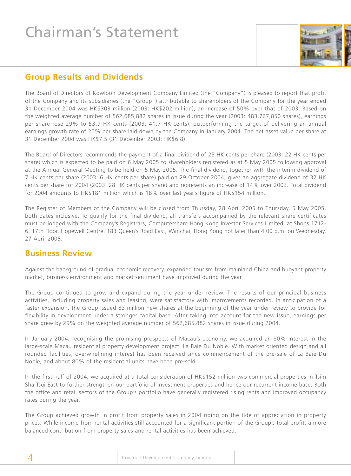# Chairman's Statement



### **Group Results and Dividends**

The Board of Directors of Kowloon Development Company Limited (the "Company") is pleased to report that profit of the Company and its subsidiaries (the "Group") attributable to shareholders of the Company for the year ended 31 December 2004 was HK\$303 million (2003: HK\$202 million), an increase of 50% over that of 2003. Based on the weighted average number of 562,685,882 shares in issue during the year (2003: 483,767,850 shares), earnings per share rose 29% to 53.9 HK cents (2003: 41.7 HK cents), outperforming the target of delivering an annual earnings growth rate of 20% per share laid down by the Company in January 2004. The net asset value per share at 31 December 2004 was HK\$7.5 (31 December 2003: HK\$6.8).

The Board of Directors recommends the payment of a final dividend of 25 HK cents per share (2003: 22 HK cents per share) which is expected to be paid on 6 May 2005 to shareholders registered as at 5 May 2005 following approval at the Annual General Meeting to be held on 5 May 2005. The final dividend, together with the interim dividend of 7 HK cents per share (2003: 6 HK cents per share) paid on 29 October 2004, gives an aggregate dividend of 32 HK cents per share for 2004 (2003: 28 HK cents per share) and represents an increase of 14% over 2003. Total dividend for 2004 amounts to HK\$181 million which is 18% over last year's figure of HK\$154 million.

The Register of Members of the Company will be closed from Thursday, 28 April 2005 to Thursday, 5 May 2005, both dates inclusive. To qualify for the final dividend, all transfers accompanied by the relevant share certificates must be lodged with the Company's Registrars, Computershare Hong Kong Investor Services Limited, at Shops 1712- 6, 17th Floor, Hopewell Centre, 183 Queen's Road East, Wanchai, Hong Kong not later than 4:00 p.m. on Wednesday, 27 April 2005.

## **Business Review**

Against the background of gradual economic recovery, expanded tourism from mainland China and buoyant property market, business environment and market sentiment have improved during the year.

The Group continued to grow and expand during the year under review. The results of our principal business activities, including property sales and leasing, were satisfactory with improvements recorded. In anticipation of a faster expansion, the Group issued 83 million new shares at the beginning of the year under review to provide for flexibility in development under a stronger capital base. After taking into account for the new issue, earnings per share grew by 29% on the weighted average number of 562,685,882 shares in issue during 2004.

In January 2004, recognising the promising prospects of Macau's economy, we acquired an 80% interest in the large-scale Macau residential property development project, La Baie Du Noble. With market oriented design and all rounded facilities, overwhelming interest has been received since commencement of the pre-sale of La Baie Du Noble, and about 80% of the residential units have been pre-sold.

In the first half of 2004, we acquired at a total consideration of HK\$152 million two commercial properties in Tsim Sha Tsui East to further strengthen our portfolio of investment properties and hence our recurrent income base. Both the office and retail sectors of the Group's portfolio have generally registered rising rents and improved occupancy rates during the year.

The Group achieved growth in profit from property sales in 2004 riding on the tide of appreciation in property prices. While income from rental activities still accounted for a significant portion of the Group's total profit, a more balanced contribution from property sales and rental activities has been achieved.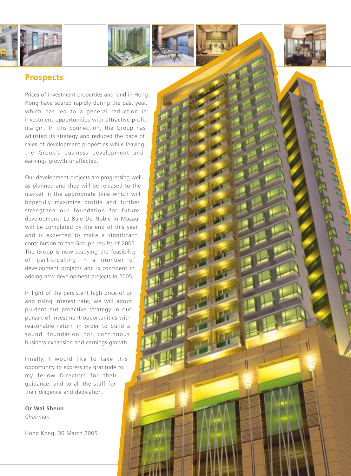





### **Prospects**

Prices of investment properties and land in Hong Kong have soared rapidly during the past year, which has led to a general reduction in investment opportunities with attractive profit margin. In this connection, the Group has adjusted its strategy and reduced the pace of sales of development properties while leaving the Group 's business development and earnings growth unaffected.

Our development projects are progressing well as planned and they will be released to the market in the appropriate time which will hopefully maximize profits and further strengthen our foundation for future development. La Baie Du Noble in Macau will be completed by the end of this year and is expected to make a significant contribution to the Group 's results of 2005. The Group is now studying the feasibility of participating in a number of development projects and is confident in adding new development projects in 2005.

In light of the persistent high price of oil and rising interest rate, we will adopt prudent but proactive strategy in our pursuit of investment opportunities with reasonable return in order to build a sound foundation for continuous business expansion and earnings growth.

Finally, I would like to take this opportunity to express my gratitude to my fellow Directors for their guidance; and to all the staff for their diligence and dedication.

**Or Wai Sheun** *Chairman*

Hong Kong, 30 March 2005

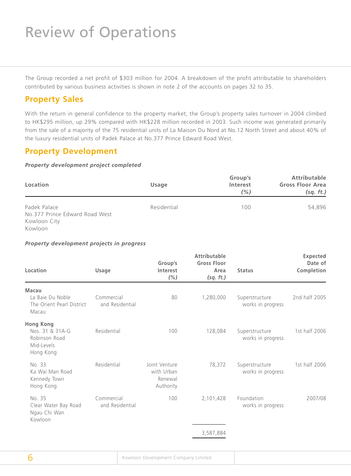# Review of Operations

The Group recorded a net profit of \$303 million for 2004. A breakdown of the profit attributable to shareholders contributed by various business activities is shown in note 2 of the accounts on pages 32 to 35.

### **Property Sales**

With the return in general confidence to the property market, the Group's property sales turnover in 2004 climbed to HK\$295 million, up 29% compared with HK\$228 million recorded in 2003. Such income was generated primarily from the sale of a majority of the 75 residential units of La Maison Du Nord at No.12 North Street and about 40% of the luxury residential units of Padek Palace at No.377 Prince Edward Road West.

### **Property Development**

#### *Property development project completed*

| Location                                       | <b>Usage</b> | Group's<br>Interest<br>(% ) | <b>Attributable</b><br><b>Gross Floor Area</b><br>(sq. ft.) |
|------------------------------------------------|--------------|-----------------------------|-------------------------------------------------------------|
| Padek Palace<br>No.377 Prince Edward Road West | Residential  | 100                         | 54,896                                                      |
| Kowloon City<br>Kowloon                        |              |                             |                                                             |

#### *Property development projects in progress*

| Location                                                                        | Usage                         | Group's<br>Interest<br>(% )                         | <b>Attributable</b><br><b>Gross Floor</b><br>Area<br>(sq. ft.) | <b>Status</b>                       | <b>Expected</b><br>Date of<br>Completion |
|---------------------------------------------------------------------------------|-------------------------------|-----------------------------------------------------|----------------------------------------------------------------|-------------------------------------|------------------------------------------|
| Macau                                                                           |                               |                                                     |                                                                |                                     |                                          |
| La Baie Du Noble<br>The Orient Pearl District<br>Macau                          | Commercial<br>and Residential | 80                                                  | 1,280,000                                                      | Superstructure<br>works in progress | 2nd half 2005                            |
| <b>Hong Kong</b><br>Nos. 31 & 31A-G<br>Robinson Road<br>Mid-Levels<br>Hong Kong | Residential                   | 100                                                 | 128,084                                                        | Superstructure<br>works in progress | 1st half 2006                            |
| No. 33<br>Ka Wai Man Road<br>Kennedy Town<br>Hong Kong                          | Residential                   | Joint Venture<br>with Urban<br>Renewal<br>Authority | 78,372                                                         | Superstructure<br>works in progress | 1st half 2006                            |
| No. 35<br>Clear Water Bay Road<br>Ngau Chi Wan<br>Kowloon                       | Commercial<br>and Residential | 100                                                 | 2,101,428                                                      | Foundation<br>works in progress     | 2007/08                                  |
|                                                                                 |                               |                                                     | 3,587,884                                                      |                                     |                                          |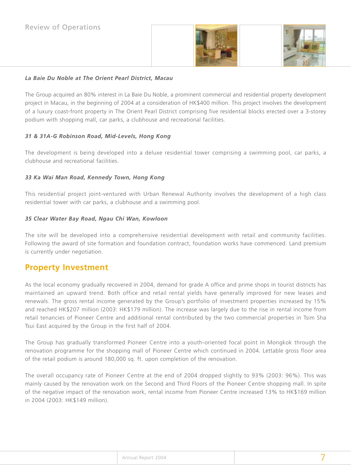



#### *La Baie Du Noble at The Orient Pearl District, Macau*

The Group acquired an 80% interest in La Baie Du Noble, a prominent commercial and residential property development project in Macau, in the beginning of 2004 at a consideration of HK\$400 million. This project involves the development of a luxury coast-front property in The Orient Pearl District comprising five residential blocks erected over a 3-storey podium with shopping mall, car parks, a clubhouse and recreational facilities.

#### *31 & 31A-G Robinson Road, Mid-Levels, Hong Kong*

The development is being developed into a deluxe residential tower comprising a swimming pool, car parks, a clubhouse and recreational facilities.

#### *33 Ka Wai Man Road, Kennedy Town, Hong Kong*

This residential project joint-ventured with Urban Renewal Authority involves the development of a high class residential tower with car parks, a clubhouse and a swimming pool.

#### *35 Clear Water Bay Road, Ngau Chi Wan, Kowloon*

The site will be developed into a comprehensive residential development with retail and community facilities. Following the award of site formation and foundation contract, foundation works have commenced. Land premium is currently under negotiation.

### **Property Investment**

As the local economy gradually recovered in 2004, demand for grade A office and prime shops in tourist districts has maintained an upward trend. Both office and retail rental yields have generally improved for new leases and renewals. The gross rental income generated by the Group's portfolio of investment properties increased by 15% and reached HK\$207 million (2003: HK\$179 million). The increase was largely due to the rise in rental income from retail tenancies of Pioneer Centre and additional rental contributed by the two commercial properties in Tsim Sha Tsui East acquired by the Group in the first half of 2004.

The Group has gradually transformed Pioneer Centre into a youth-oriented focal point in Mongkok through the renovation programme for the shopping mall of Pioneer Centre which continued in 2004. Lettable gross floor area of the retail podium is around 180,000 sq. ft. upon completion of the renovation.

The overall occupancy rate of Pioneer Centre at the end of 2004 dropped slightly to 93% (2003: 96%). This was mainly caused by the renovation work on the Second and Third Floors of the Pioneer Centre shopping mall. In spite of the negative impact of the renovation work, rental income from Pioneer Centre increased 13% to HK\$169 million in 2004 (2003: HK\$149 million).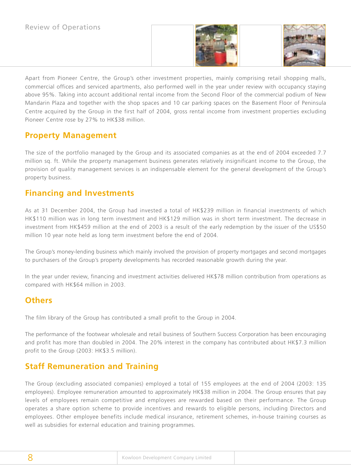



Apart from Pioneer Centre, the Group's other investment properties, mainly comprising retail shopping malls, commercial offices and serviced apartments, also performed well in the year under review with occupancy staying above 95%. Taking into account additional rental income from the Second Floor of the commercial podium of New Mandarin Plaza and together with the shop spaces and 10 car parking spaces on the Basement Floor of Peninsula Centre acquired by the Group in the first half of 2004, gross rental income from investment properties excluding Pioneer Centre rose by 27% to HK\$38 million.

## **Property Management**

The size of the portfolio managed by the Group and its associated companies as at the end of 2004 exceeded 7.7 million sq. ft. While the property management business generates relatively insignificant income to the Group, the provision of quality management services is an indispensable element for the general development of the Group's property business.

## **Financing and Investments**

As at 31 December 2004, the Group had invested a total of HK\$239 million in financial investments of which HK\$110 million was in long term investment and HK\$129 million was in short term investment. The decrease in investment from HK\$459 million at the end of 2003 is a result of the early redemption by the issuer of the US\$50 million 10 year note held as long term investment before the end of 2004.

The Group's money-lending business which mainly involved the provision of property mortgages and second mortgages to purchasers of the Group's property developments has recorded reasonable growth during the year.

In the year under review, financing and investment activities delivered HK\$78 million contribution from operations as compared with HK\$64 million in 2003.

## **Others**

The film library of the Group has contributed a small profit to the Group in 2004.

The performance of the footwear wholesale and retail business of Southern Success Corporation has been encouraging and profit has more than doubled in 2004. The 20% interest in the company has contributed about HK\$7.3 million profit to the Group (2003: HK\$3.5 million).

## **Staff Remuneration and Training**

The Group (excluding associated companies) employed a total of 155 employees at the end of 2004 (2003: 135 employees). Employee remuneration amounted to approximately HK\$38 million in 2004. The Group ensures that pay levels of employees remain competitive and employees are rewarded based on their performance. The Group operates a share option scheme to provide incentives and rewards to eligible persons, including Directors and employees. Other employee benefits include medical insurance, retirement schemes, in-house training courses as well as subsidies for external education and training programmes.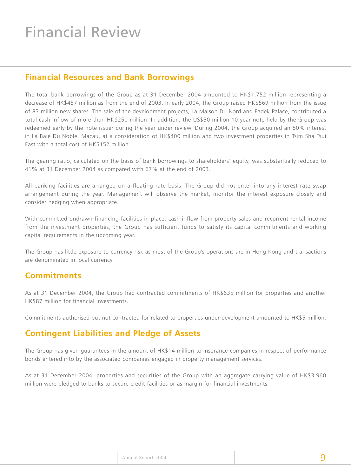# Financial Review

### **Financial Resources and Bank Borrowings**

The total bank borrowings of the Group as at 31 December 2004 amounted to HK\$1,752 million representing a decrease of HK\$457 million as from the end of 2003. In early 2004, the Group raised HK\$569 million from the issue of 83 million new shares. The sale of the development projects, La Maison Du Nord and Padek Palace, contributed a total cash inflow of more than HK\$250 million. In addition, the US\$50 million 10 year note held by the Group was redeemed early by the note issuer during the year under review. During 2004, the Group acquired an 80% interest in La Baie Du Noble, Macau, at a consideration of HK\$400 million and two investment properties in Tsim Sha Tsui East with a total cost of HK\$152 million.

The gearing ratio, calculated on the basis of bank borrowings to shareholders' equity, was substantially reduced to 41% at 31 December 2004 as compared with 67% at the end of 2003.

All banking facilities are arranged on a floating rate basis. The Group did not enter into any interest rate swap arrangement during the year. Management will observe the market, monitor the interest exposure closely and consider hedging when appropriate.

With committed undrawn financing facilities in place, cash inflow from property sales and recurrent rental income from the investment properties, the Group has sufficient funds to satisfy its capital commitments and working capital requirements in the upcoming year.

The Group has little exposure to currency risk as most of the Group's operations are in Hong Kong and transactions are denominated in local currency.

### **Commitments**

As at 31 December 2004, the Group had contracted commitments of HK\$635 million for properties and another HK\$87 million for financial investments.

Commitments authorised but not contracted for related to properties under development amounted to HK\$5 million.

## **Contingent Liabilities and Pledge of Assets**

The Group has given guarantees in the amount of HK\$14 million to insurance companies in respect of performance bonds entered into by the associated companies engaged in property management services.

As at 31 December 2004, properties and securities of the Group with an aggregate carrying value of HK\$3,960 million were pledged to banks to secure credit facilities or as margin for financial investments.

|  | Annual Report 2004 |  |  |
|--|--------------------|--|--|
|--|--------------------|--|--|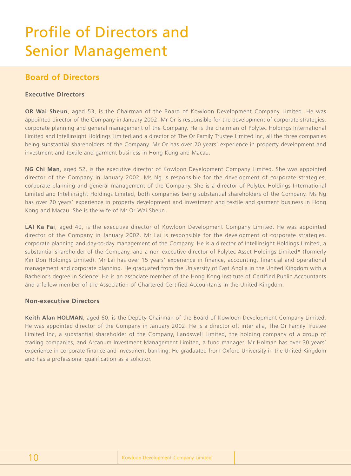# Profile of Directors and Senior Management

### **Board of Directors**

#### **Executive Directors**

**OR Wai Sheun**, aged 53, is the Chairman of the Board of Kowloon Development Company Limited. He was appointed director of the Company in January 2002. Mr Or is responsible for the development of corporate strategies, corporate planning and general management of the Company. He is the chairman of Polytec Holdings International Limited and Intellinsight Holdings Limited and a director of The Or Family Trustee Limited Inc, all the three companies being substantial shareholders of the Company. Mr Or has over 20 years' experience in property development and investment and textile and garment business in Hong Kong and Macau.

**NG Chi Man**, aged 52, is the executive director of Kowloon Development Company Limited. She was appointed director of the Company in January 2002. Ms Ng is responsible for the development of corporate strategies, corporate planning and general management of the Company. She is a director of Polytec Holdings International Limited and Intellinsight Holdings Limited, both companies being substantial shareholders of the Company. Ms Ng has over 20 years' experience in property development and investment and textile and garment business in Hong Kong and Macau. She is the wife of Mr Or Wai Sheun.

**LAI Ka Fai**, aged 40, is the executive director of Kowloon Development Company Limited. He was appointed director of the Company in January 2002. Mr Lai is responsible for the development of corporate strategies, corporate planning and day-to-day management of the Company. He is a director of Intellinsight Holdings Limited, a substantial shareholder of the Company, and a non executive director of Polytec Asset Holdings Limited\* (formerly Kin Don Holdings Limited). Mr Lai has over 15 years' experience in finance, accounting, financial and operational management and corporate planning. He graduated from the University of East Anglia in the United Kingdom with a Bachelor's degree in Science. He is an associate member of the Hong Kong Institute of Certified Public Accountants and a fellow member of the Association of Chartered Certified Accountants in the United Kingdom.

#### **Non-executive Directors**

**Keith Alan HOLMAN**, aged 60, is the Deputy Chairman of the Board of Kowloon Development Company Limited. He was appointed director of the Company in January 2002. He is a director of, inter alia, The Or Family Trustee Limited Inc, a substantial shareholder of the Company, Landswell Limited, the holding company of a group of trading companies, and Arcanum Investment Management Limited, a fund manager. Mr Holman has over 30 years' experience in corporate finance and investment banking. He graduated from Oxford University in the United Kingdom and has a professional qualification as a solicitor.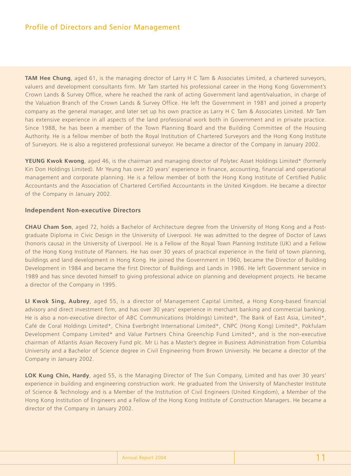**TAM Hee Chung**, aged 61, is the managing director of Larry H C Tam & Associates Limited, a chartered surveyors, valuers and development consultants firm. Mr Tam started his professional career in the Hong Kong Government's Crown Lands & Survey Office, where he reached the rank of acting Government land agent/valuation, in charge of the Valuation Branch of the Crown Lands & Survey Office. He left the Government in 1981 and joined a property company as the general manager, and later set up his own practice as Larry H C Tam & Associates Limited. Mr Tam has extensive experience in all aspects of the land professional work both in Government and in private practice. Since 1988, he has been a member of the Town Planning Board and the Building Committee of the Housing Authority. He is a fellow member of both the Royal Institution of Chartered Surveyors and the Hong Kong Institute of Surveyors. He is also a registered professional surveyor. He became a director of the Company in January 2002.

**YEUNG Kwok Kwong**, aged 46, is the chairman and managing director of Polytec Asset Holdings Limited\* (formerly Kin Don Holdings Limited). Mr Yeung has over 20 years' experience in finance, accounting, financial and operational management and corporate planning. He is a fellow member of both the Hong Kong Institute of Certified Public Accountants and the Association of Chartered Certified Accountants in the United Kingdom. He became a director of the Company in January 2002.

#### **Independent Non-executive Directors**

**CHAU Cham Son**, aged 72, holds a Bachelor of Architecture degree from the University of Hong Kong and a Postgraduate Diploma in Civic Design in the University of Liverpool. He was admitted to the degree of Doctor of Laws (honoris causa) in the University of Liverpool. He is a Fellow of the Royal Town Planning Institute (UK) and a Fellow of the Hong Kong Institute of Planners. He has over 30 years of practical experience in the field of town planning, buildings and land development in Hong Kong. He joined the Government in 1960, became the Director of Building Development in 1984 and became the first Director of Buildings and Lands in 1986. He left Government service in 1989 and has since devoted himself to giving professional advice on planning and development projects. He became a director of the Company in 1995.

**LI Kwok Sing, Aubrey**, aged 55, is a director of Management Capital Limited, a Hong Kong-based financial advisory and direct investment firm, and has over 30 years' experience in merchant banking and commercial banking. He is also a non-executive director of ABC Communications (Holdings) Limited\*, The Bank of East Asia, Limited\*, Café de Coral Holdings Limited\*, China Everbright International Limited\*, CNPC (Hong Kong) Limited\*, Pokfulam Development Company Limited\* and Value Partners China Greenchip Fund Limited\*, and is the non-executive chairman of Atlantis Asian Recovery Fund plc. Mr Li has a Master's degree in Business Administration from Columbia University and a Bachelor of Science degree in Civil Engineering from Brown University. He became a director of the Company in January 2002.

**LOK Kung Chin, Hardy**, aged 55, is the Managing Director of The Sun Company, Limited and has over 30 years' experience in building and engineering construction work. He graduated from the University of Manchester Institute of Science & Technology and is a Member of the Institution of Civil Engineers (United Kingdom), a Member of the Hong Kong Institution of Engineers and a Fellow of the Hong Kong Institute of Construction Managers. He became a director of the Company in January 2002.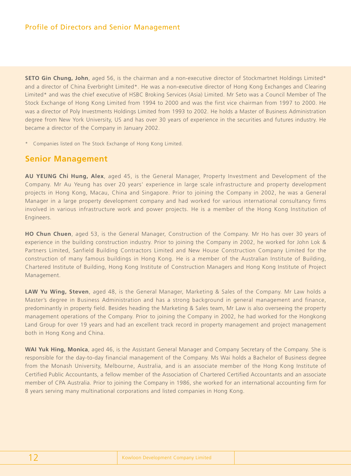**SETO Gin Chung, John**, aged 56, is the chairman and a non-executive director of Stockmartnet Holdings Limited\* and a director of China Everbright Limited\*. He was a non-executive director of Hong Kong Exchanges and Clearing Limited\* and was the chief executive of HSBC Broking Services (Asia) Limited. Mr Seto was a Council Member of The Stock Exchange of Hong Kong Limited from 1994 to 2000 and was the first vice chairman from 1997 to 2000. He was a director of Poly Investments Holdings Limited from 1993 to 2002. He holds a Master of Business Administration degree from New York University, US and has over 30 years of experience in the securities and futures industry. He became a director of the Company in January 2002.

\* Companies listed on The Stock Exchange of Hong Kong Limited.

### **Senior Management**

**AU YEUNG Chi Hung, Alex**, aged 45, is the General Manager, Property Investment and Development of the Company. Mr Au Yeung has over 20 years' experience in large scale infrastructure and property development projects in Hong Kong, Macau, China and Singapore. Prior to joining the Company in 2002, he was a General Manager in a large property development company and had worked for various international consultancy firms involved in various infrastructure work and power projects. He is a member of the Hong Kong Institution of Engineers.

**HO Chun Chuen**, aged 53, is the General Manager, Construction of the Company. Mr Ho has over 30 years of experience in the building construction industry. Prior to joining the Company in 2002, he worked for John Lok & Partners Limited, Sanfield Building Contractors Limited and New House Construction Company Limited for the construction of many famous buildings in Hong Kong. He is a member of the Australian Institute of Building, Chartered Institute of Building, Hong Kong Institute of Construction Managers and Hong Kong Institute of Project Management.

**LAW Yu Wing, Steven**, aged 48, is the General Manager, Marketing & Sales of the Company. Mr Law holds a Master's degree in Business Administration and has a strong background in general management and finance, predominantly in property field. Besides heading the Marketing & Sales team, Mr Law is also overseeing the property management operations of the Company. Prior to joining the Company in 2002, he had worked for the Hongkong Land Group for over 19 years and had an excellent track record in property management and project management both in Hong Kong and China.

**WAI Yuk Hing, Monica**, aged 46, is the Assistant General Manager and Company Secretary of the Company. She is responsible for the day-to-day financial management of the Company. Ms Wai holds a Bachelor of Business degree from the Monash University, Melbourne, Australia, and is an associate member of the Hong Kong Institute of Certified Public Accountants, a fellow member of the Association of Chartered Certified Accountants and an associate member of CPA Australia. Prior to joining the Company in 1986, she worked for an international accounting firm for 8 years serving many multinational corporations and listed companies in Hong Kong.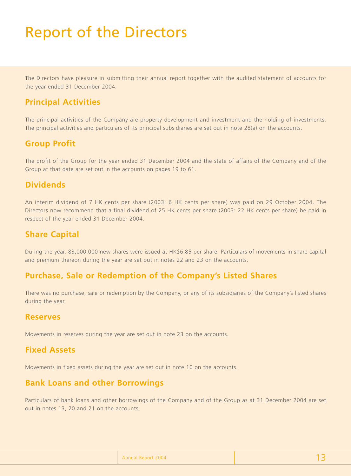# Report of the Directors

The Directors have pleasure in submitting their annual report together with the audited statement of accounts for the year ended 31 December 2004.

### **Principal Activities**

The principal activities of the Company are property development and investment and the holding of investments. The principal activities and particulars of its principal subsidiaries are set out in note 28(a) on the accounts.

### **Group Profit**

The profit of the Group for the year ended 31 December 2004 and the state of affairs of the Company and of the Group at that date are set out in the accounts on pages 19 to 61.

### **Dividends**

An interim dividend of 7 HK cents per share (2003: 6 HK cents per share) was paid on 29 October 2004. The Directors now recommend that a final dividend of 25 HK cents per share (2003: 22 HK cents per share) be paid in respect of the year ended 31 December 2004.

### **Share Capital**

During the year, 83,000,000 new shares were issued at HK\$6.85 per share. Particulars of movements in share capital and premium thereon during the year are set out in notes 22 and 23 on the accounts.

### **Purchase, Sale or Redemption of the Company's Listed Shares**

There was no purchase, sale or redemption by the Company, or any of its subsidiaries of the Company's listed shares during the year.

#### **Reserves**

Movements in reserves during the year are set out in note 23 on the accounts.

### **Fixed Assets**

Movements in fixed assets during the year are set out in note 10 on the accounts.

### **Bank Loans and other Borrowings**

Particulars of bank loans and other borrowings of the Company and of the Group as at 31 December 2004 are set out in notes 13, 20 and 21 on the accounts.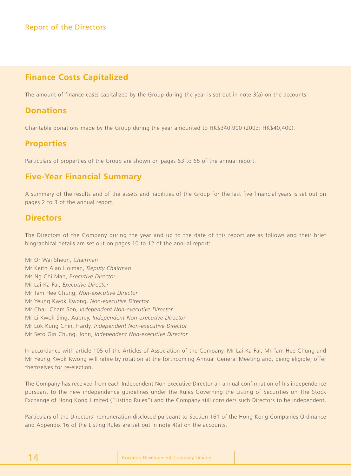## **Finance Costs Capitalized**

The amount of finance costs capitalized by the Group during the year is set out in note 3(a) on the accounts.

### **Donations**

Charitable donations made by the Group during the year amounted to HK\$340,900 (2003: HK\$40,400).

### **Properties**

Particulars of properties of the Group are shown on pages 63 to 65 of the annual report.

## **Five-Year Financial Summary**

A summary of the results and of the assets and liabilities of the Group for the last five financial years is set out on pages 2 to 3 of the annual report.

### **Directors**

The Directors of the Company during the year and up to the date of this report are as follows and their brief biographical details are set out on pages 10 to 12 of the annual report:

Mr Or Wai Sheun, *Chairman* Mr Keith Alan Holman, *Deputy Chairman* Ms Ng Chi Man, *Executive Directo*r Mr Lai Ka Fai, *Executive Director* Mr Tam Hee Chung, *Non-executive Director* Mr Yeung Kwok Kwong, *Non-executive Director* Mr Chau Cham Son, *Independent Non-executive Director* Mr Li Kwok Sing, Aubrey, *Independent Non-executive Director* Mr Lok Kung Chin, Hardy, *Independent Non-executive Director* Mr Seto Gin Chung, John, *Independent Non-executive Director*

In accordance with article 105 of the Articles of Association of the Company, Mr Lai Ka Fai, Mr Tam Hee Chung and Mr Yeung Kwok Kwong will retire by rotation at the forthcoming Annual General Meeting and, being eligible, offer themselves for re-election.

The Company has received from each Independent Non-executive Director an annual confirmation of his independence pursuant to the new independence guidelines under the Rules Governing the Listing of Securities on The Stock Exchange of Hong Kong Limited ("Listing Rules") and the Company still considers such Directors to be independent.

Particulars of the Directors' remuneration disclosed pursuant to Section 161 of the Hong Kong Companies Ordinance and Appendix 16 of the Listing Rules are set out in note 4(a) on the accounts.

|--|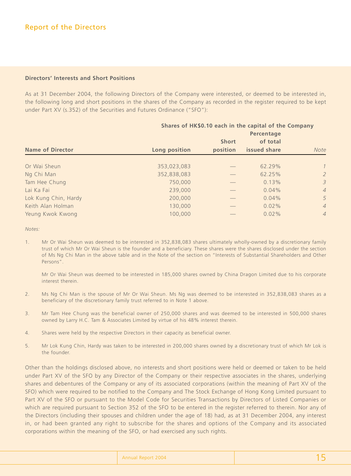#### **Directors' Interests and Short Positions**

As at 31 December 2004, the following Directors of the Company were interested, or deemed to be interested in, the following long and short positions in the shares of the Company as recorded in the register required to be kept under Part XV (s.352) of the Securities and Futures Ordinance ("SFO"):

|                         |               |                          | Shares of HK\$0.10 each in the capital of the Company<br>Percentage |                |
|-------------------------|---------------|--------------------------|---------------------------------------------------------------------|----------------|
| <b>Name of Director</b> | Long position | <b>Short</b><br>position | of total<br>issued share                                            | <b>Note</b>    |
| Or Wai Sheun            | 353,023,083   |                          | 62.29%                                                              | $\mathcal{I}$  |
| Ng Chi Man              | 352,838,083   |                          | 62.25%                                                              | $\overline{2}$ |
| Tam Hee Chung           | 750,000       |                          | 0.13%                                                               | $\mathcal{E}$  |
| Lai Ka Fai              | 239,000       |                          | 0.04%                                                               | $\overline{4}$ |
| Lok Kung Chin, Hardy    | 200,000       |                          | 0.04%                                                               | 5              |
| Keith Alan Holman       | 130,000       |                          | $0.02\%$                                                            | $\overline{4}$ |
| Yeung Kwok Kwong        | 100,000       |                          | $0.02\%$                                                            | $\overline{4}$ |

*Notes:*

1. Mr Or Wai Sheun was deemed to be interested in 352,838,083 shares ultimately wholly-owned by a discretionary family trust of which Mr Or Wai Sheun is the founder and a beneficiary. These shares were the shares disclosed under the section of Ms Ng Chi Man in the above table and in the Note of the section on "Interests of Substantial Shareholders and Other Persons".

Mr Or Wai Sheun was deemed to be interested in 185,000 shares owned by China Dragon Limited due to his corporate interest therein.

- 2. Ms Ng Chi Man is the spouse of Mr Or Wai Sheun. Ms Ng was deemed to be interested in 352,838,083 shares as a beneficiary of the discretionary family trust referred to in Note 1 above.
- 3. Mr Tam Hee Chung was the beneficial owner of 250,000 shares and was deemed to be interested in 500,000 shares owned by Larry H.C. Tam & Associates Limited by virtue of his 48% interest therein.
- 4. Shares were held by the respective Directors in their capacity as beneficial owner.
- 5. Mr Lok Kung Chin, Hardy was taken to be interested in 200,000 shares owned by a discretionary trust of which Mr Lok is the founder.

Other than the holdings disclosed above, no interests and short positions were held or deemed or taken to be held under Part XV of the SFO by any Director of the Company or their respective associates in the shares, underlying shares and debentures of the Company or any of its associated corporations (within the meaning of Part XV of the SFO) which were required to be notified to the Company and The Stock Exchange of Hong Kong Limited pursuant to Part XV of the SFO or pursuant to the Model Code for Securities Transactions by Directors of Listed Companies or which are required pursuant to Section 352 of the SFO to be entered in the register referred to therein. Nor any of the Directors (including their spouses and children under the age of 18) had, as at 31 December 2004, any interest in, or had been granted any right to subscribe for the shares and options of the Company and its associated corporations within the meaning of the SFO, or had exercised any such rights.

| Annual Report 2004 |  |
|--------------------|--|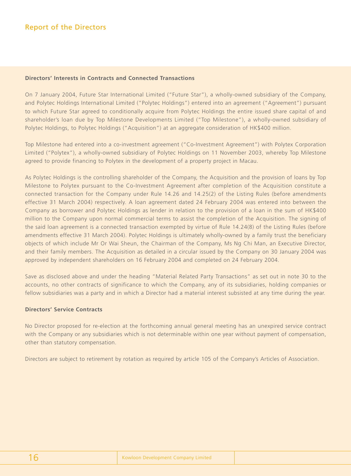#### **Directors' Interests in Contracts and Connected Transactions**

On 7 January 2004, Future Star International Limited ("Future Star"), a wholly-owned subsidiary of the Company, and Polytec Holdings International Limited ("Polytec Holdings") entered into an agreement ("Agreement") pursuant to which Future Star agreed to conditionally acquire from Polytec Holdings the entire issued share capital of and shareholder's loan due by Top Milestone Developments Limited ("Top Milestone"), a wholly-owned subsidiary of Polytec Holdings, to Polytec Holdings ("Acquisition") at an aggregate consideration of HK\$400 million.

Top Milestone had entered into a co-investment agreement ("Co-Investment Agreement") with Polytex Corporation Limited ("Polytex"), a wholly-owned subsidiary of Polytec Holdings on 11 November 2003, whereby Top Milestone agreed to provide financing to Polytex in the development of a property project in Macau.

As Polytec Holdings is the controlling shareholder of the Company, the Acquisition and the provision of loans by Top Milestone to Polytex pursuant to the Co-Investment Agreement after completion of the Acquisition constitute a connected transaction for the Company under Rule 14.26 and 14.25(2) of the Listing Rules (before amendments effective 31 March 2004) respectively. A loan agreement dated 24 February 2004 was entered into between the Company as borrower and Polytec Holdings as lender in relation to the provision of a loan in the sum of HK\$400 million to the Company upon normal commercial terms to assist the completion of the Acquisition. The signing of the said loan agreement is a connected transaction exempted by virtue of Rule 14.24(8) of the Listing Rules (before amendments effective 31 March 2004). Polytec Holdings is ultimately wholly-owned by a family trust the beneficiary objects of which include Mr Or Wai Sheun, the Chairman of the Company, Ms Ng Chi Man, an Executive Director, and their family members. The Acquisition as detailed in a circular issued by the Company on 30 January 2004 was approved by independent shareholders on 16 February 2004 and completed on 24 February 2004.

Save as disclosed above and under the heading "Material Related Party Transactions" as set out in note 30 to the accounts, no other contracts of significance to which the Company, any of its subsidiaries, holding companies or fellow subsidiaries was a party and in which a Director had a material interest subsisted at any time during the year.

#### **Directors' Service Contracts**

No Director proposed for re-election at the forthcoming annual general meeting has an unexpired service contract with the Company or any subsidiaries which is not determinable within one year without payment of compensation, other than statutory compensation.

Directors are subject to retirement by rotation as required by article 105 of the Company's Articles of Association.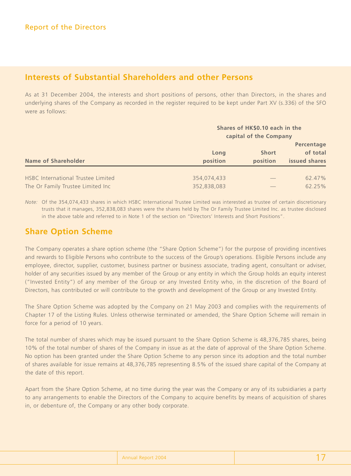### **Interests of Substantial Shareholders and other Persons**

As at 31 December 2004, the interests and short positions of persons, other than Directors, in the shares and underlying shares of the Company as recorded in the register required to be kept under Part XV (s.336) of the SFO were as follows:

| Name of Shareholder                | Shares of HK\$0.10 each in the<br>capital of the Company |  |                                         |  |  |
|------------------------------------|----------------------------------------------------------|--|-----------------------------------------|--|--|
|                                    | Long<br>position<br>position                             |  | Percentage<br>of total<br>issued shares |  |  |
| HSBC International Trustee Limited | 354,074,433                                              |  | 62.47%                                  |  |  |
| The Or Family Trustee Limited Inc  | 352,838,083                                              |  | 62.25%                                  |  |  |

*Note:* Of the 354,074,433 shares in which HSBC International Trustee Limited was interested as trustee of certain discretionary trusts that it manages, 352,838,083 shares were the shares held by The Or Family Trustee Limited Inc. as trustee disclosed in the above table and referred to in Note 1 of the section on "Directors' Interests and Short Positions".

### **Share Option Scheme**

The Company operates a share option scheme (the "Share Option Scheme") for the purpose of providing incentives and rewards to Eligible Persons who contribute to the success of the Group's operations. Eligible Persons include any employee, director, supplier, customer, business partner or business associate, trading agent, consultant or adviser, holder of any securities issued by any member of the Group or any entity in which the Group holds an equity interest ("Invested Entity") of any member of the Group or any Invested Entity who, in the discretion of the Board of Directors, has contributed or will contribute to the growth and development of the Group or any Invested Entity.

The Share Option Scheme was adopted by the Company on 21 May 2003 and complies with the requirements of Chapter 17 of the Listing Rules. Unless otherwise terminated or amended, the Share Option Scheme will remain in force for a period of 10 years.

The total number of shares which may be issued pursuant to the Share Option Scheme is 48,376,785 shares, being 10% of the total number of shares of the Company in issue as at the date of approval of the Share Option Scheme. No option has been granted under the Share Option Scheme to any person since its adoption and the total number of shares available for issue remains at 48,376,785 representing 8.5% of the issued share capital of the Company at the date of this report.

Apart from the Share Option Scheme, at no time during the year was the Company or any of its subsidiaries a party to any arrangements to enable the Directors of the Company to acquire benefits by means of acquisition of shares in, or debenture of, the Company or any other body corporate.

| Annual Report 2004 |  |
|--------------------|--|
|                    |  |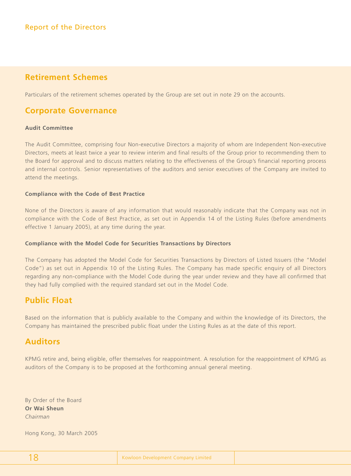### **Retirement Schemes**

Particulars of the retirement schemes operated by the Group are set out in note 29 on the accounts.

### **Corporate Governance**

#### **Audit Committee**

The Audit Committee, comprising four Non-executive Directors a majority of whom are Independent Non-executive Directors, meets at least twice a year to review interim and final results of the Group prior to recommending them to the Board for approval and to discuss matters relating to the effectiveness of the Group's financial reporting process and internal controls. Senior representatives of the auditors and senior executives of the Company are invited to attend the meetings.

#### **Compliance with the Code of Best Practice**

None of the Directors is aware of any information that would reasonably indicate that the Company was not in compliance with the Code of Best Practice, as set out in Appendix 14 of the Listing Rules (before amendments effective 1 January 2005), at any time during the year.

#### **Compliance with the Model Code for Securities Transactions by Directors**

The Company has adopted the Model Code for Securities Transactions by Directors of Listed Issuers (the "Model Code") as set out in Appendix 10 of the Listing Rules. The Company has made specific enquiry of all Directors regarding any non-compliance with the Model Code during the year under review and they have all confirmed that they had fully complied with the required standard set out in the Model Code.

### **Public Float**

Based on the information that is publicly available to the Company and within the knowledge of its Directors, the Company has maintained the prescribed public float under the Listing Rules as at the date of this report.

### **Auditors**

KPMG retire and, being eligible, offer themselves for reappointment. A resolution for the reappointment of KPMG as auditors of the Company is to be proposed at the forthcoming annual general meeting.

By Order of the Board **Or Wai Sheun** *Chairman*

Hong Kong, 30 March 2005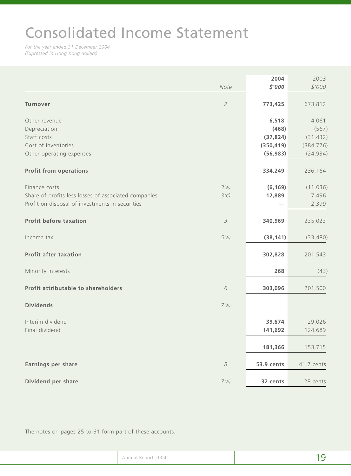# Consolidated Income Statement

*For the year ended 31 December 2004 (Expressed in Hong Kong dollars)*

|                                                      |               | 2004       | 2003       |
|------------------------------------------------------|---------------|------------|------------|
|                                                      | Note          | \$'000     | \$'000     |
| <b>Turnover</b>                                      | $\sqrt{2}$    | 773,425    | 673,812    |
|                                                      |               |            |            |
| Other revenue                                        |               | 6,518      | 4,061      |
| Depreciation                                         |               | (468)      | (567)      |
| Staff costs                                          |               | (37, 824)  | (31, 432)  |
| Cost of inventories                                  |               | (350, 419) | (384, 776) |
| Other operating expenses                             |               | (56, 983)  | (24, 934)  |
| <b>Profit from operations</b>                        |               | 334,249    | 236,164    |
|                                                      |               |            |            |
| Finance costs                                        | 3(a)          | (6, 169)   | (11, 036)  |
| Share of profits less losses of associated companies | 3(c)          | 12,889     | 7,496      |
| Profit on disposal of investments in securities      |               |            | 2,399      |
| <b>Profit before taxation</b>                        | $\mathcal{S}$ | 340,969    | 235,023    |
| Income tax                                           | 5(a)          | (38, 141)  | (33, 480)  |
| <b>Profit after taxation</b>                         |               | 302,828    | 201,543    |
| Minority interests                                   |               | 268        | (43)       |
| Profit attributable to shareholders                  | $\sqrt{6}$    | 303,096    | 201,500    |
| <b>Dividends</b>                                     | 7(a)          |            |            |
| Interim dividend                                     |               | 39,674     | 29,026     |
| Final dividend                                       |               | 141,692    | 124,689    |
|                                                      |               |            |            |
|                                                      |               | 181,366    | 153,715    |
| <b>Earnings per share</b>                            | $\mathcal S$  | 53.9 cents | 41.7 cents |
|                                                      |               |            |            |
| Dividend per share                                   | 7(a)          | 32 cents   | 28 cents   |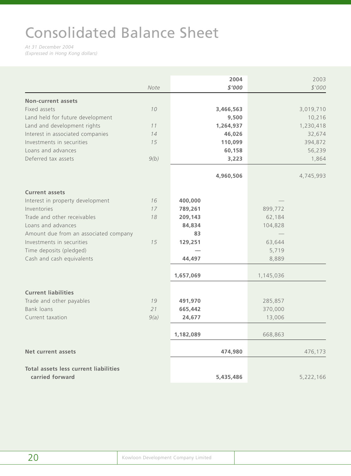# Consolidated Balance Sheet

*At 31 December 2004 (Expressed in Hong Kong dollars)*

|                                                                 | Note |           | 2004<br>\$'000 |           | 2003<br>\$'000 |
|-----------------------------------------------------------------|------|-----------|----------------|-----------|----------------|
| <b>Non-current assets</b>                                       |      |           |                |           |                |
| Fixed assets                                                    | 10   |           | 3,466,563      |           | 3,019,710      |
| Land held for future development                                |      |           | 9,500          |           | 10,216         |
| Land and development rights                                     | 11   |           | 1,264,937      |           | 1,230,418      |
| Interest in associated companies                                | 14   |           | 46,026         |           | 32,674         |
| Investments in securities                                       | 15   |           | 110,099        |           | 394,872        |
| Loans and advances                                              |      |           | 60,158         |           | 56,239         |
| Deferred tax assets                                             | 9(b) |           | 3,223          |           | 1,864          |
|                                                                 |      |           | 4,960,506      |           | 4,745,993      |
| <b>Current assets</b>                                           |      |           |                |           |                |
| Interest in property development                                | 16   | 400,000   |                |           |                |
| Inventories                                                     | 17   | 789,261   |                | 899,772   |                |
| Trade and other receivables                                     | 18   | 209,143   |                | 62,184    |                |
| Loans and advances                                              |      | 84,834    |                | 104,828   |                |
| Amount due from an associated company                           |      | 83        |                |           |                |
| Investments in securities                                       | 15   | 129,251   |                | 63,644    |                |
| Time deposits (pledged)                                         |      |           |                | 5,719     |                |
| Cash and cash equivalents                                       |      | 44,497    |                | 8,889     |                |
|                                                                 |      | 1,657,069 |                | 1,145,036 |                |
| <b>Current liabilities</b>                                      |      |           |                |           |                |
| Trade and other payables                                        | 19   | 491,970   |                | 285,857   |                |
| Bank loans                                                      | 21   | 665,442   |                | 370,000   |                |
| Current taxation                                                | 9(a) | 24,677    |                | 13,006    |                |
|                                                                 |      |           |                |           |                |
|                                                                 |      | 1,182,089 |                | 668,863   |                |
| <b>Net current assets</b>                                       |      |           | 474,980        |           | 476,173        |
|                                                                 |      |           |                |           |                |
| <b>Total assets less current liabilities</b><br>carried forward |      |           | 5,435,486      |           | 5,222,166      |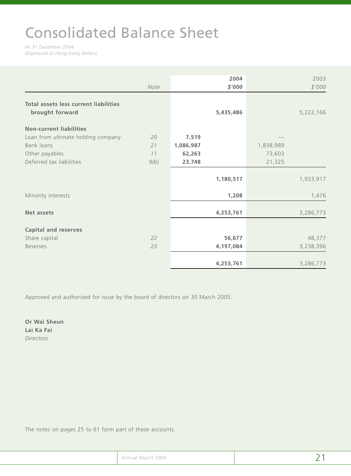# Consolidated Balance Sheet

*At 31 December 2004 (Expressed in Hong Kong dollars)*

|                                                                                                | Note                   |                                        | 2004<br>\$'000 |                               | 2003<br>\$'000 |
|------------------------------------------------------------------------------------------------|------------------------|----------------------------------------|----------------|-------------------------------|----------------|
| <b>Total assets less current liabilities</b><br>brought forward                                |                        |                                        | 5,435,486      |                               | 5,222,166      |
| <b>Non-current liabilities</b>                                                                 |                        |                                        |                |                               |                |
| Loan from ultimate holding company<br>Bank loans<br>Other payables<br>Deferred tax liabilities | 20<br>21<br>11<br>9(b) | 7,519<br>1,086,987<br>62,263<br>23,748 |                | 1,838,989<br>73,603<br>21,325 |                |
|                                                                                                |                        |                                        | 1,180,517      |                               | 1,933,917      |
| Minority interests                                                                             |                        |                                        | 1,208          |                               | 1,476          |
| <b>Net assets</b>                                                                              |                        |                                        | 4,253,761      |                               | 3,286,773      |
| <b>Capital and reserves</b>                                                                    |                        |                                        |                |                               |                |
| Share capital                                                                                  | 22                     |                                        | 56,677         |                               | 48,377         |
| Reserves                                                                                       | 23                     |                                        | 4,197,084      |                               | 3,238,396      |
|                                                                                                |                        |                                        | 4,253,761      |                               | 3,286,773      |

Approved and authorized for issue by the board of directors on 30 March 2005.

**Or Wai Sheun Lai Ka Fai** *Directors*

| Annual Report 2004 |  |
|--------------------|--|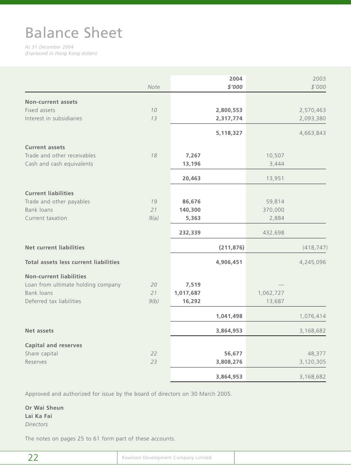# Balance Sheet

*At 31 December 2004 (Expressed in Hong Kong dollars)*

|                                              | Note |           | 2004<br>\$'000 |           | 2003<br>\$'000 |
|----------------------------------------------|------|-----------|----------------|-----------|----------------|
| <b>Non-current assets</b>                    |      |           |                |           |                |
| Fixed assets                                 | 10   |           | 2,800,553      |           | 2,570,463      |
| Interest in subsidiaries                     | 13   |           | 2,317,774      |           | 2,093,380      |
|                                              |      |           | 5,118,327      |           | 4,663,843      |
| <b>Current assets</b>                        |      |           |                |           |                |
| Trade and other receivables                  | 18   | 7,267     |                | 10,507    |                |
| Cash and cash equivalents                    |      | 13,196    |                | 3,444     |                |
|                                              |      | 20,463    |                | 13,951    |                |
| <b>Current liabilities</b>                   |      |           |                |           |                |
| Trade and other payables                     | 19   | 86,676    |                | 59,814    |                |
| Bank loans                                   | 21   | 140,300   |                | 370,000   |                |
| Current taxation                             | 9(a) | 5,363     |                | 2,884     |                |
|                                              |      | 232,339   |                | 432,698   |                |
| <b>Net current liabilities</b>               |      |           | (211, 876)     |           | (418, 747)     |
| <b>Total assets less current liabilities</b> |      |           | 4,906,451      |           | 4,245,096      |
| <b>Non-current liabilities</b>               |      |           |                |           |                |
| Loan from ultimate holding company           | 20   | 7,519     |                |           |                |
| Bank loans                                   | 21   | 1,017,687 |                | 1,062,727 |                |
| Deferred tax liabilities                     | 9(b) | 16,292    |                | 13,687    |                |
|                                              |      |           | 1,041,498      |           | 1,076,414      |
| <b>Net assets</b>                            |      |           | 3,864,953      |           | 3,168,682      |
| <b>Capital and reserves</b>                  |      |           |                |           |                |
| Share capital                                | 22   |           | 56,677         |           | 48,377         |
| Reserves                                     | 23   |           | 3,808,276      |           | 3,120,305      |
|                                              |      |           | 3,864,953      |           | 3,168,682      |

Approved and authorized for issue by the board of directors on 30 March 2005.

**Or Wai Sheun Lai Ka Fai** *Directors*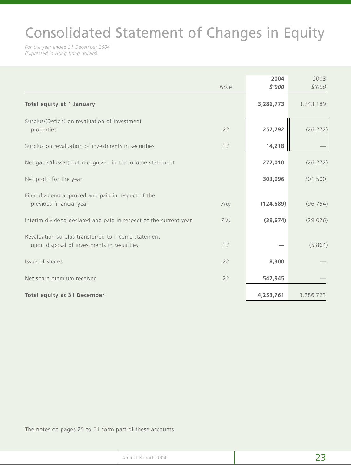# Consolidated Statement of Changes in Equity

*For the year ended 31 December 2004 (Expressed in Hong Kong dollars)*

|                                                                                                   | Note | 2004<br>\$'000 | 2003<br>\$'000 |
|---------------------------------------------------------------------------------------------------|------|----------------|----------------|
| <b>Total equity at 1 January</b>                                                                  |      | 3,286,773      | 3,243,189      |
| Surplus/(Deficit) on revaluation of investment<br>properties                                      | 23   | 257,792        | (26, 272)      |
| Surplus on revaluation of investments in securities                                               | 23   | 14,218         |                |
| Net gains/(losses) not recognized in the income statement                                         |      | 272,010        | (26, 272)      |
| Net profit for the year                                                                           |      | 303,096        | 201,500        |
| Final dividend approved and paid in respect of the<br>previous financial year                     | 7(b) | (124, 689)     | (96, 754)      |
| Interim dividend declared and paid in respect of the current year                                 | 7(a) | (39, 674)      | (29, 026)      |
| Revaluation surplus transferred to income statement<br>upon disposal of investments in securities | 23   |                | (5,864)        |
| Issue of shares                                                                                   | 22   | 8,300          |                |
| Net share premium received                                                                        | 23   | 547,945        |                |
| <b>Total equity at 31 December</b>                                                                |      | 4,253,761      | 3,286,773      |

| Annual Report 2004 |  |
|--------------------|--|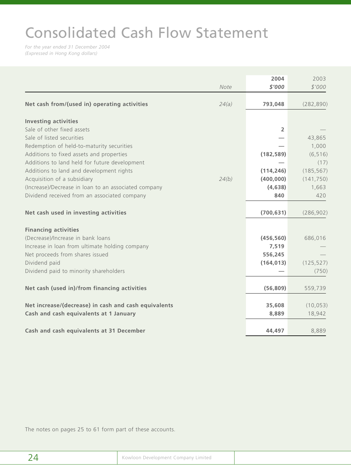# Consolidated Cash Flow Statement

*For the year ended 31 December 2004 (Expressed in Hong Kong dollars)*

|                                                      |       | 2004           | 2003       |
|------------------------------------------------------|-------|----------------|------------|
|                                                      | Note  | \$'000         | \$'000     |
| Net cash from/(used in) operating activities         | 24(a) | 793,048        | (282, 890) |
|                                                      |       |                |            |
| <b>Investing activities</b>                          |       |                |            |
| Sale of other fixed assets                           |       | $\overline{2}$ |            |
| Sale of listed securities                            |       |                | 43,865     |
| Redemption of held-to-maturity securities            |       |                | 1,000      |
| Additions to fixed assets and properties             |       | (182, 589)     | (6, 516)   |
| Additions to land held for future development        |       |                | (17)       |
| Additions to land and development rights             |       | (114, 246)     | (185, 567) |
| Acquisition of a subsidiary                          | 24(b) | (400, 000)     | (141, 750) |
| (Increase)/Decrease in loan to an associated company |       | (4,638)        | 1,663      |
| Dividend received from an associated company         |       | 840            | 420        |
| Net cash used in investing activities                |       | (700, 631)     | (286, 902) |
|                                                      |       |                |            |
| <b>Financing activities</b>                          |       |                |            |
| (Decrease)/Increase in bank loans                    |       | (456, 560)     | 686,016    |
| Increase in loan from ultimate holding company       |       | 7,519          |            |
| Net proceeds from shares issued                      |       | 556,245        |            |
| Dividend paid                                        |       | (164, 013)     | (125, 527) |
| Dividend paid to minority shareholders               |       |                | (750)      |
|                                                      |       |                |            |
| Net cash (used in)/from financing activities         |       | (56, 809)      | 559,739    |
| Net increase/(decrease) in cash and cash equivalents |       | 35,608         | (10, 053)  |
| Cash and cash equivalents at 1 January               |       | 8,889          | 18,942     |
|                                                      |       |                |            |
| Cash and cash equivalents at 31 December             |       | 44,497         | 8,889      |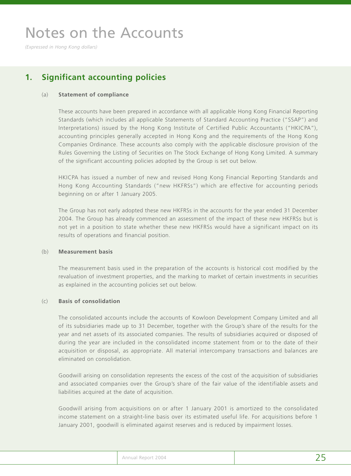*(Expressed in Hong Kong dollars)*

## **1. Significant accounting policies**

#### (a) **Statement of compliance**

These accounts have been prepared in accordance with all applicable Hong Kong Financial Reporting Standards (which includes all applicable Statements of Standard Accounting Practice ("SSAP") and Interpretations) issued by the Hong Kong Institute of Certified Public Accountants ("HKICPA"), accounting principles generally accepted in Hong Kong and the requirements of the Hong Kong Companies Ordinance. These accounts also comply with the applicable disclosure provision of the Rules Governing the Listing of Securities on The Stock Exchange of Hong Kong Limited. A summary of the significant accounting policies adopted by the Group is set out below.

HKICPA has issued a number of new and revised Hong Kong Financial Reporting Standards and Hong Kong Accounting Standards ("new HKFRSs") which are effective for accounting periods beginning on or after 1 January 2005.

The Group has not early adopted these new HKFRSs in the accounts for the year ended 31 December 2004. The Group has already commenced an assessment of the impact of these new HKFRSs but is not yet in a position to state whether these new HKFRSs would have a significant impact on its results of operations and financial position.

#### (b) **Measurement basis**

The measurement basis used in the preparation of the accounts is historical cost modified by the revaluation of investment properties, and the marking to market of certain investments in securities as explained in the accounting policies set out below.

#### (c) **Basis of consolidation**

The consolidated accounts include the accounts of Kowloon Development Company Limited and all of its subsidiaries made up to 31 December, together with the Group's share of the results for the year and net assets of its associated companies. The results of subsidiaries acquired or disposed of during the year are included in the consolidated income statement from or to the date of their acquisition or disposal, as appropriate. All material intercompany transactions and balances are eliminated on consolidation.

Goodwill arising on consolidation represents the excess of the cost of the acquisition of subsidiaries and associated companies over the Group's share of the fair value of the identifiable assets and liabilities acquired at the date of acquisition.

Goodwill arising from acquisitions on or after 1 January 2001 is amortized to the consolidated income statement on a straight-line basis over its estimated useful life. For acquisitions before 1 January 2001, goodwill is eliminated against reserves and is reduced by impairment losses.

| Annual Report 2004 |  |
|--------------------|--|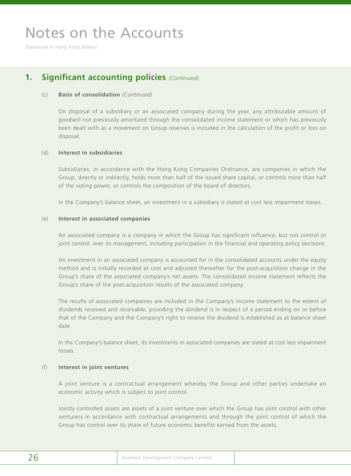*(Expressed in Hong Kong dollars)*

### **1. Significant accounting policies** *(Continued)*

#### (c) **Basis of consolidation** *(Continued)*

On disposal of a subsidiary or an associated company during the year, any attributable amount of goodwill not previously amortized through the consolidated income statement or which has previously been dealt with as a movement on Group reserves is included in the calculation of the profit or loss on disposal.

#### (d) **Interest in subsidiaries**

Subsidiaries, in accordance with the Hong Kong Companies Ordinance, are companies in which the Group, directly or indirectly, holds more than half of the issued share capital, or controls more than half of the voting power, or controls the composition of the board of directors.

In the Company's balance sheet, an investment in a subsidiary is stated at cost less impairment losses.

#### (e) **Interest in associated companies**

An associated company is a company in which the Group has significant influence, but not control or joint control, over its management, including participation in the financial and operating policy decisions.

An investment in an associated company is accounted for in the consolidated accounts under the equity method and is initially recorded at cost and adjusted thereafter for the post-acquisition change in the Group's share of the associated company's net assets. The consolidated income statement reflects the Group's share of the post-acquisition results of the associated company.

The results of associated companies are included in the Company's income statement to the extent of dividends received and receivable, providing the dividend is in respect of a period ending on or before that of the Company and the Company's right to receive the dividend is established as at balance sheet date.

In the Company's balance sheet, its investments in associated companies are stated at cost less impairment losses.

#### (f) **Interest in joint ventures**

A joint venture is a contractual arrangement whereby the Group and other parties undertake an economic activity which is subject to joint control.

Jointly controlled assets are assets of a joint venture over which the Group has joint control with other venturers in accordance with contractual arrangements and through the joint control of which the Group has control over its share of future economic benefits earned from the assets.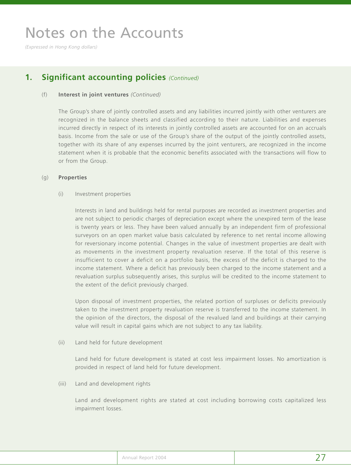*(Expressed in Hong Kong dollars)*

## **1. Significant accounting policies** *(Continued)*

#### (f) **Interest in joint ventures** *(Continued)*

The Group's share of jointly controlled assets and any liabilities incurred jointly with other venturers are recognized in the balance sheets and classified according to their nature. Liabilities and expenses incurred directly in respect of its interests in jointly controlled assets are accounted for on an accruals basis. Income from the sale or use of the Group's share of the output of the jointly controlled assets, together with its share of any expenses incurred by the joint venturers, are recognized in the income statement when it is probable that the economic benefits associated with the transactions will flow to or from the Group.

#### (g) **Properties**

#### (i) Investment properties

Interests in land and buildings held for rental purposes are recorded as investment properties and are not subject to periodic charges of depreciation except where the unexpired term of the lease is twenty years or less. They have been valued annually by an independent firm of professional surveyors on an open market value basis calculated by reference to net rental income allowing for reversionary income potential. Changes in the value of investment properties are dealt with as movements in the investment property revaluation reserve. If the total of this reserve is insufficient to cover a deficit on a portfolio basis, the excess of the deficit is charged to the income statement. Where a deficit has previously been charged to the income statement and a revaluation surplus subsequently arises, this surplus will be credited to the income statement to the extent of the deficit previously charged.

Upon disposal of investment properties, the related portion of surpluses or deficits previously taken to the investment property revaluation reserve is transferred to the income statement. In the opinion of the directors, the disposal of the revalued land and buildings at their carrying value will result in capital gains which are not subject to any tax liability.

#### (ii) Land held for future development

Land held for future development is stated at cost less impairment losses. No amortization is provided in respect of land held for future development.

(iii) Land and development rights

Land and development rights are stated at cost including borrowing costs capitalized less impairment losses.

| 2004<br>Annual<br><b>RADOL</b><br><b>Lands</b> |  |
|------------------------------------------------|--|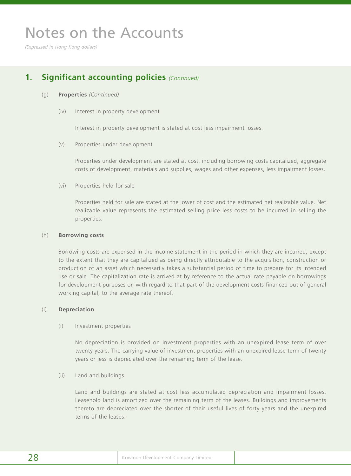*(Expressed in Hong Kong dollars)*

### **1. Significant accounting policies** *(Continued)*

#### (g) **Properties** *(Continued)*

(iv) Interest in property development

Interest in property development is stated at cost less impairment losses.

(v) Properties under development

Properties under development are stated at cost, including borrowing costs capitalized, aggregate costs of development, materials and supplies, wages and other expenses, less impairment losses.

(vi) Properties held for sale

Properties held for sale are stated at the lower of cost and the estimated net realizable value. Net realizable value represents the estimated selling price less costs to be incurred in selling the properties.

#### (h) **Borrowing costs**

Borrowing costs are expensed in the income statement in the period in which they are incurred, except to the extent that they are capitalized as being directly attributable to the acquisition, construction or production of an asset which necessarily takes a substantial period of time to prepare for its intended use or sale. The capitalization rate is arrived at by reference to the actual rate payable on borrowings for development purposes or, with regard to that part of the development costs financed out of general working capital, to the average rate thereof.

#### (i) **Depreciation**

(i) Investment properties

No depreciation is provided on investment properties with an unexpired lease term of over twenty years. The carrying value of investment properties with an unexpired lease term of twenty years or less is depreciated over the remaining term of the lease.

(ii) Land and buildings

Land and buildings are stated at cost less accumulated depreciation and impairment losses. Leasehold land is amortized over the remaining term of the leases. Buildings and improvements thereto are depreciated over the shorter of their useful lives of forty years and the unexpired terms of the leases.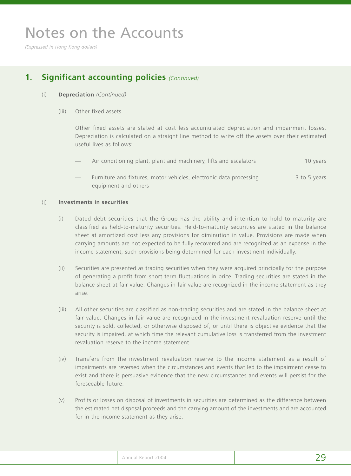*(Expressed in Hong Kong dollars)*

## **1. Significant accounting policies** *(Continued)*

#### (i) **Depreciation** *(Continued)*

(iii) Other fixed assets

Other fixed assets are stated at cost less accumulated depreciation and impairment losses. Depreciation is calculated on a straight line method to write off the assets over their estimated useful lives as follows:

- Air conditioning plant, plant and machinery, lifts and escalators 10 years 10 years
- Furniture and fixtures, motor vehicles, electronic data processing 3 to 5 years equipment and others

#### (j) **Investments in securities**

- (i) Dated debt securities that the Group has the ability and intention to hold to maturity are classified as held-to-maturity securities. Held-to-maturity securities are stated in the balance sheet at amortized cost less any provisions for diminution in value. Provisions are made when carrying amounts are not expected to be fully recovered and are recognized as an expense in the income statement, such provisions being determined for each investment individually.
- (ii) Securities are presented as trading securities when they were acquired principally for the purpose of generating a profit from short term fluctuations in price. Trading securities are stated in the balance sheet at fair value. Changes in fair value are recognized in the income statement as they arise.
- (iii) All other securities are classified as non-trading securities and are stated in the balance sheet at fair value. Changes in fair value are recognized in the investment revaluation reserve until the security is sold, collected, or otherwise disposed of, or until there is objective evidence that the security is impaired, at which time the relevant cumulative loss is transferred from the investment revaluation reserve to the income statement.
- (iv) Transfers from the investment revaluation reserve to the income statement as a result of impairments are reversed when the circumstances and events that led to the impairment cease to exist and there is persuasive evidence that the new circumstances and events will persist for the foreseeable future.
- (v) Profits or losses on disposal of investments in securities are determined as the difference between the estimated net disposal proceeds and the carrying amount of the investments and are accounted for in the income statement as they arise.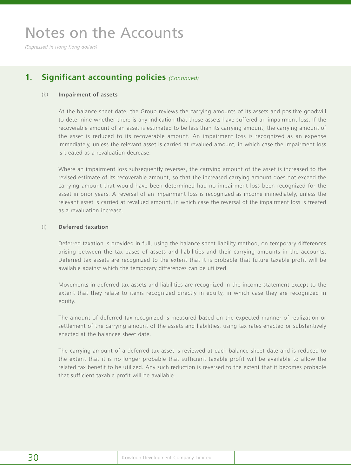*(Expressed in Hong Kong dollars)*

## **1. Significant accounting policies** *(Continued)*

#### (k) **Impairment of assets**

At the balance sheet date, the Group reviews the carrying amounts of its assets and positive goodwill to determine whether there is any indication that those assets have suffered an impairment loss. If the recoverable amount of an asset is estimated to be less than its carrying amount, the carrying amount of the asset is reduced to its recoverable amount. An impairment loss is recognized as an expense immediately, unless the relevant asset is carried at revalued amount, in which case the impairment loss is treated as a revaluation decrease.

Where an impairment loss subsequently reverses, the carrying amount of the asset is increased to the revised estimate of its recoverable amount, so that the increased carrying amount does not exceed the carrying amount that would have been determined had no impairment loss been recognized for the asset in prior years. A reversal of an impairment loss is recognized as income immediately, unless the relevant asset is carried at revalued amount, in which case the reversal of the impairment loss is treated as a revaluation increase.

#### (l) **Deferred taxation**

Deferred taxation is provided in full, using the balance sheet liability method, on temporary differences arising between the tax bases of assets and liabilities and their carrying amounts in the accounts. Deferred tax assets are recognized to the extent that it is probable that future taxable profit will be available against which the temporary differences can be utilized.

Movements in deferred tax assets and liabilities are recognized in the income statement except to the extent that they relate to items recognized directly in equity, in which case they are recognized in equity.

The amount of deferred tax recognized is measured based on the expected manner of realization or settlement of the carrying amount of the assets and liabilities, using tax rates enacted or substantively enacted at the balancee sheet date.

The carrying amount of a deferred tax asset is reviewed at each balance sheet date and is reduced to the extent that it is no longer probable that sufficient taxable profit will be available to allow the related tax benefit to be utilized. Any such reduction is reversed to the extent that it becomes probable that sufficient taxable profit will be available.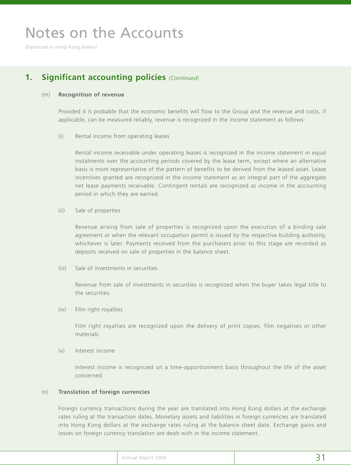*(Expressed in Hong Kong dollars)*

### **1. Significant accounting policies** *(Continued)*

#### (m) **Recognition of revenue**

Provided it is probable that the economic benefits will flow to the Group and the revenue and costs, if applicable, can be measured reliably, revenue is recognized in the income statement as follows:

(i) Rental income from operating leases

Rental income receivable under operating leases is recognized in the income statement in equal instalments over the accounting periods covered by the lease term, except where an alternative basis is more representative of the pattern of benefits to be derived from the leased asset. Lease incentives granted are recognized in the income statement as an integral part of the aggregate net lease payments receivable. Contingent rentals are recognized as income in the accounting period in which they are earned.

(ii) Sale of properties

Revenue arising from sale of properties is recognized upon the execution of a binding sale agreement or when the relevant occupation permit is issued by the respective building authority, whichever is later. Payments received from the purchasers prior to this stage are recorded as deposits received on sale of properties in the balance sheet.

(iii) Sale of investments in securities

Revenue from sale of investments in securities is recognized when the buyer takes legal title to the securities.

(iv) Film right royalties

Film right royalties are recognized upon the delivery of print copies, film negatives or other materials.

(v) Interest income

Interest income is recognized on a time-apportionment basis throughout the life of the asset concerned.

#### (n) **Translation of foreign currencies**

Foreign currency transactions during the year are translated into Hong Kong dollars at the exchange rates ruling at the transaction dates. Monetary assets and liabilities in foreign currencies are translated into Hong Kong dollars at the exchange rates ruling at the balance sheet date. Exchange gains and losses on foreign currency translation are dealt with in the income statement.

| Annual Report 2004 |  |
|--------------------|--|
|                    |  |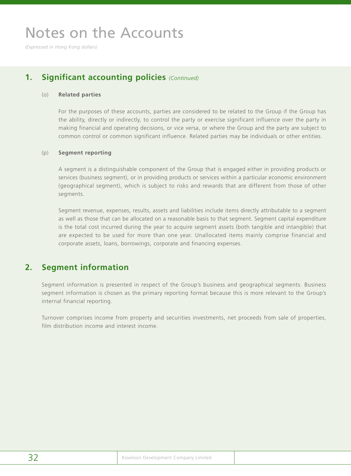*(Expressed in Hong Kong dollars)*

### **1. Significant accounting policies** *(Continued)*

#### (o) **Related parties**

For the purposes of these accounts, parties are considered to be related to the Group if the Group has the ability, directly or indirectly, to control the party or exercise significant influence over the party in making financial and operating decisions, or vice versa, or where the Group and the party are subject to common control or common significant influence. Related parties may be individuals or other entities.

#### (p) **Segment reporting**

A segment is a distinguishable component of the Group that is engaged either in providing products or services (business segment), or in providing products or services within a particular economic environment (geographical segment), which is subject to risks and rewards that are different from those of other segments.

Segment revenue, expenses, results, assets and liabilities include items directly attributable to a segment as well as those that can be allocated on a reasonable basis to that segment. Segment capital expenditure is the total cost incurred during the year to acquire segment assets (both tangible and intangible) that are expected to be used for more than one year. Unallocated items mainly comprise financial and corporate assets, loans, borrowings, corporate and financing expenses.

## **2. Segment information**

Segment information is presented in respect of the Group's business and geographical segments. Business segment information is chosen as the primary reporting format because this is more relevant to the Group's internal financial reporting.

Turnover comprises income from property and securities investments, net proceeds from sale of properties, film distribution income and interest income.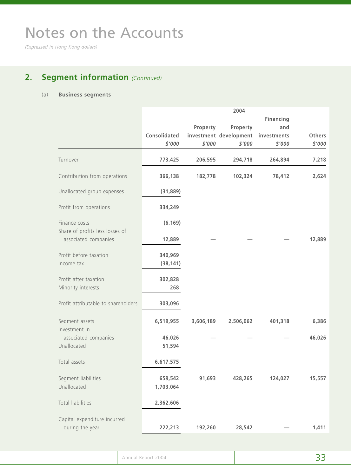*(Expressed in Hong Kong dollars)*

## **2. Segment information** *(Continued)*

### (a) **Business segments**

|                                                         |              |           | 2004                   |             |               |
|---------------------------------------------------------|--------------|-----------|------------------------|-------------|---------------|
|                                                         |              |           |                        | Financing   |               |
|                                                         |              | Property  | Property               | and         |               |
|                                                         | Consolidated |           | investment development | investments | <b>Others</b> |
|                                                         | \$'000       | \$'000    | \$'000                 | \$'000      | \$'000        |
| Turnover                                                | 773,425      | 206,595   | 294,718                | 264,894     | 7,218         |
| Contribution from operations                            | 366,138      | 182,778   | 102,324                | 78,412      | 2,624         |
| Unallocated group expenses                              | (31, 889)    |           |                        |             |               |
| Profit from operations                                  | 334,249      |           |                        |             |               |
| Finance costs                                           | (6, 169)     |           |                        |             |               |
| Share of profits less losses of<br>associated companies | 12,889       |           |                        |             | 12,889        |
| Profit before taxation                                  | 340,969      |           |                        |             |               |
| Income tax                                              | (38, 141)    |           |                        |             |               |
| Profit after taxation                                   | 302,828      |           |                        |             |               |
| Minority interests                                      | 268          |           |                        |             |               |
| Profit attributable to shareholders                     | 303,096      |           |                        |             |               |
| Segment assets                                          | 6,519,955    | 3,606,189 | 2,506,062              | 401,318     | 6,386         |
| Investment in<br>associated companies                   | 46,026       |           |                        |             | 46,026        |
| Unallocated                                             | 51,594       |           |                        |             |               |
| Total assets                                            | 6,617,575    |           |                        |             |               |
| Segment liabilities                                     | 659,542      | 91,693    | 428,265                | 124,027     | 15,557        |
| Unallocated                                             | 1,703,064    |           |                        |             |               |
| Total liabilities                                       | 2,362,606    |           |                        |             |               |
| Capital expenditure incurred                            |              |           |                        |             |               |
| during the year                                         | 222,213      | 192,260   | 28,542                 |             | 1,411         |

| Annual Report 2004 |     |
|--------------------|-----|
|                    | ر ر |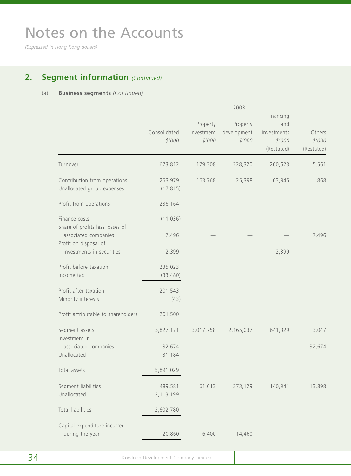*(Expressed in Hong Kong dollars)*

## **2. Segment information** *(Continued)*

#### (a) **Business segments** *(Continued)*

|                                                                                  |                        |                                  | 2003                              | Financing                                  |                                |
|----------------------------------------------------------------------------------|------------------------|----------------------------------|-----------------------------------|--------------------------------------------|--------------------------------|
|                                                                                  | Consolidated<br>\$'000 | Property<br>investment<br>\$'000 | Property<br>development<br>\$'000 | and<br>investments<br>\$'000<br>(Restated) | Others<br>\$'000<br>(Restated) |
| Turnover                                                                         | 673,812                | 179,308                          | 228,320                           | 260,623                                    | 5,561                          |
| Contribution from operations<br>Unallocated group expenses                       | 253,979<br>(17, 815)   | 163,768                          | 25,398                            | 63,945                                     | 868                            |
| Profit from operations                                                           | 236,164                |                                  |                                   |                                            |                                |
| Finance costs                                                                    | (11, 036)              |                                  |                                   |                                            |                                |
| Share of profits less losses of<br>associated companies<br>Profit on disposal of | 7,496                  |                                  |                                   |                                            | 7,496                          |
| investments in securities                                                        | 2,399                  |                                  |                                   | 2,399                                      |                                |
| Profit before taxation<br>Income tax                                             | 235,023<br>(33, 480)   |                                  |                                   |                                            |                                |
| Profit after taxation<br>Minority interests                                      | 201,543<br>(43)        |                                  |                                   |                                            |                                |
| Profit attributable to shareholders                                              | 201,500                |                                  |                                   |                                            |                                |
| Segment assets<br>Investment in                                                  | 5,827,171              | 3,017,758                        | 2,165,037                         | 641,329                                    | 3,047                          |
| associated companies<br>Unallocated                                              | 32,674<br>31,184       |                                  |                                   |                                            | 32,674                         |
| Total assets                                                                     | 5,891,029              |                                  |                                   |                                            |                                |
| Segment liabilities<br>Unallocated                                               | 489,581<br>2,113,199   | 61,613                           | 273,129                           | 140,941                                    | 13,898                         |
| Total liabilities                                                                | 2,602,780              |                                  |                                   |                                            |                                |
| Capital expenditure incurred<br>during the year                                  | 20,860                 | 6,400                            | 14,460                            |                                            |                                |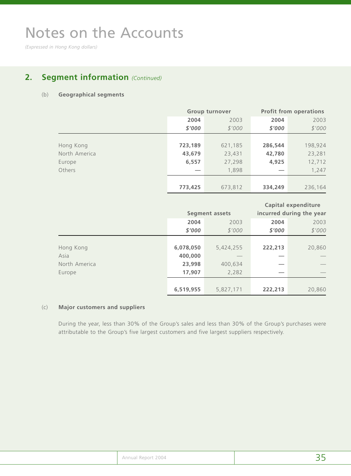*(Expressed in Hong Kong dollars)*

## **2. Segment information** *(Continued)*

#### (b) **Geographical segments**

|               |           | <b>Group turnover</b> |         | <b>Profit from operations</b> |
|---------------|-----------|-----------------------|---------|-------------------------------|
|               | 2004      | 2003                  | 2004    | 2003                          |
|               | \$'000    | \$'000                | \$'000  | \$'000                        |
|               |           |                       |         |                               |
| Hong Kong     | 723,189   | 621,185               | 286,544 | 198,924                       |
| North America | 43,679    | 23,431                | 42,780  | 23,281                        |
| Europe        | 6,557     | 27,298                | 4,925   | 12,712                        |
| Others        |           | 1,898                 |         | 1,247                         |
|               |           |                       |         |                               |
|               | 773,425   | 673,812               | 334,249 | 236,164                       |
|               |           |                       |         |                               |
|               |           |                       |         |                               |
|               |           |                       |         | <b>Capital expenditure</b>    |
|               |           | <b>Segment assets</b> |         | incurred during the year      |
|               | 2004      | 2003                  | 2004    | 2003                          |
|               | \$'000    | \$'000                | \$'000  | \$'000                        |
|               |           |                       |         |                               |
| Hong Kong     | 6,078,050 | 5,424,255             | 222,213 | 20,860                        |
| Asia          | 400,000   |                       |         |                               |
| North America | 23,998    | 400,634               |         |                               |
| Europe        | 17,907    | 2,282                 |         |                               |
|               |           |                       |         |                               |

#### (c) **Major customers and suppliers**

During the year, less than 30% of the Group's sales and less than 30% of the Group's purchases were attributable to the Group's five largest customers and five largest suppliers respectively.

|  | Annual Report 2004 |  |
|--|--------------------|--|
|--|--------------------|--|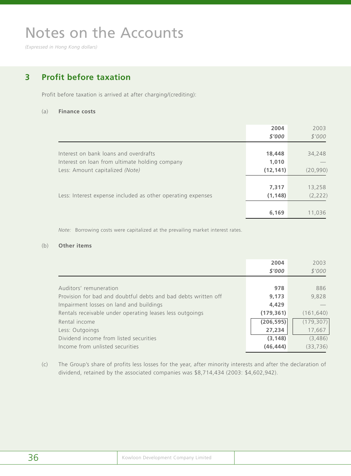*(Expressed in Hong Kong dollars)*

## **3 Profit before taxation**

Profit before taxation is arrived at after charging/(crediting):

#### (a) **Finance costs**

|                                                             | 2004      | 2003      |
|-------------------------------------------------------------|-----------|-----------|
|                                                             | \$'000    | \$'000    |
|                                                             |           |           |
| Interest on bank loans and overdrafts                       | 18,448    | 34,248    |
| Interest on loan from ultimate holding company              | 1,010     |           |
| Less: Amount capitalized (Note)                             | (12, 141) | (20, 990) |
|                                                             |           |           |
|                                                             | 7,317     | 13,258    |
| Less: Interest expense included as other operating expenses | (1, 148)  | (2, 222)  |
|                                                             |           |           |
|                                                             | 6,169     | 11,036    |

*Note:* Borrowing costs were capitalized at the prevailing market interest rates.

#### (b) **Other items**

|                                                                | 2004       | 2003       |
|----------------------------------------------------------------|------------|------------|
|                                                                | \$'000     | \$'000     |
|                                                                |            |            |
| Auditors' remuneration                                         | 978        | 886        |
| Provision for bad and doubtful debts and bad debts written off | 9.173      | 9,828      |
| Impairment losses on land and buildings                        | 4,429      |            |
| Rentals receivable under operating leases less outgoings       | (179, 361) | (161, 640) |
| Rental income                                                  | (206, 595) | (179, 307) |
| Less: Outgoings                                                | 27,234     | 17,667     |
| Dividend income from listed securities                         | (3, 148)   | (3,486)    |
| Income from unlisted securities                                | (46, 444)  | (33, 736)  |

(c) The Group's share of profits less losses for the year, after minority interests and after the declaration of dividend, retained by the associated companies was \$8,714,434 (2003: \$4,602,942).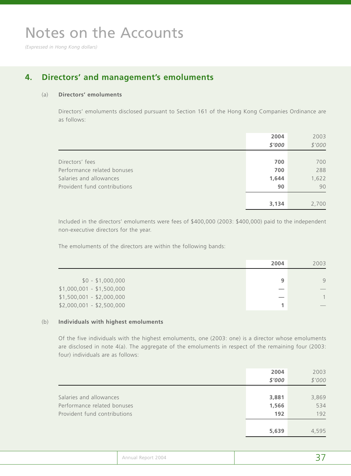*(Expressed in Hong Kong dollars)*

## **4. Directors' and management's emoluments**

#### (a) **Directors' emoluments**

Directors' emoluments disclosed pursuant to Section 161 of the Hong Kong Companies Ordinance are as follows:

|                              | 2004   | 2003   |
|------------------------------|--------|--------|
|                              | \$'000 | \$'000 |
|                              |        |        |
| Directors' fees              | 700    | 700    |
| Performance related bonuses  | 700    | 288    |
| Salaries and allowances      | 1,644  | 1,622  |
| Provident fund contributions | 90     | 90     |
|                              |        |        |
|                              | 3,134  | 2,700  |

Included in the directors' emoluments were fees of \$400,000 (2003: \$400,000) paid to the independent non-executive directors for the year.

The emoluments of the directors are within the following bands:

|                           | 2004 | 2003 |
|---------------------------|------|------|
| $$0 - $1,000,000$         | 9    | 9    |
| $$1,000,001 - $1,500,000$ |      |      |
| $$1,500,001 - $2,000,000$ |      |      |
| $$2,000,001 - $2,500,000$ |      |      |

#### (b) **Individuals with highest emoluments**

Of the five individuals with the highest emoluments, one (2003: one) is a director whose emoluments are disclosed in note 4(a). The aggregate of the emoluments in respect of the remaining four (2003: four) individuals are as follows:

|                                                                                        | 2004<br>\$'000        | 2003<br>\$'000      |
|----------------------------------------------------------------------------------------|-----------------------|---------------------|
| Salaries and allowances<br>Performance related bonuses<br>Provident fund contributions | 3,881<br>1,566<br>192 | 3,869<br>534<br>192 |
|                                                                                        | 5,639                 | 4,595               |

| Annual Report 2004 |  |
|--------------------|--|
|                    |  |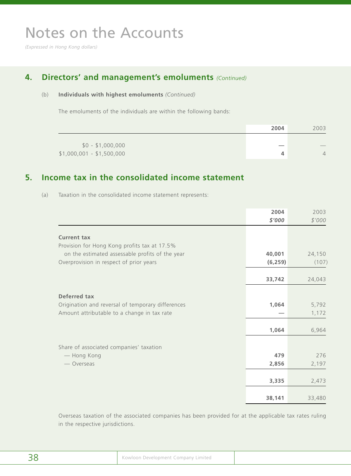*(Expressed in Hong Kong dollars)*

## **4. Directors' and management's emoluments** *(Continued)*

### (b) **Individuals with highest emoluments** *(Continued)*

The emoluments of the individuals are within the following bands:

|                           | 2004 | 2003                     |
|---------------------------|------|--------------------------|
| $$0 - $1,000,000$         |      | $\overline{\phantom{a}}$ |
| $$1,000,001 - $1,500,000$ |      | $\overline{4}$           |

## **5. Income tax in the consolidated income statement**

(a) Taxation in the consolidated income statement represents:

|                                                   | 2004     | 2003   |
|---------------------------------------------------|----------|--------|
|                                                   | \$'000   | \$'000 |
| <b>Current tax</b>                                |          |        |
| Provision for Hong Kong profits tax at 17.5%      |          |        |
| on the estimated assessable profits of the year   | 40,001   | 24,150 |
| Overprovision in respect of prior years           | (6, 259) | (107)  |
|                                                   |          |        |
|                                                   | 33,742   | 24,043 |
| Deferred tax                                      |          |        |
| Origination and reversal of temporary differences | 1,064    | 5,792  |
| Amount attributable to a change in tax rate       |          | 1,172  |
|                                                   |          |        |
|                                                   | 1,064    | 6,964  |
| Share of associated companies' taxation           |          |        |
| - Hong Kong                                       | 479      | 276    |
| — Overseas                                        | 2,856    | 2,197  |
|                                                   |          |        |
|                                                   | 3,335    | 2,473  |
|                                                   |          |        |
|                                                   | 38,141   | 33,480 |

Overseas taxation of the associated companies has been provided for at the applicable tax rates ruling in the respective jurisdictions.

| 38 | Kowloon Development Company Limited |  |
|----|-------------------------------------|--|
|----|-------------------------------------|--|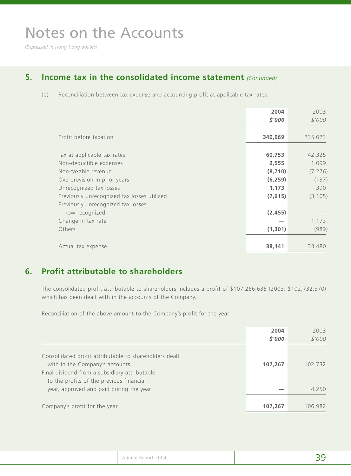*(Expressed in Hong Kong dollars)*

## **5. Income tax in the consolidated income statement** *(Continued)*

(b) Reconciliation between tax expense and accounting profit at applicable tax rates:

|                                             | 2004     | 2003     |
|---------------------------------------------|----------|----------|
|                                             | \$'000   | \$'000   |
| Profit before taxation                      | 340,969  | 235,023  |
| Tax at applicable tax rates                 | 60,753   | 42,325   |
| Non-deductible expenses                     | 2,555    | 1,099    |
| Non-taxable revenue                         | (8, 710) | (7, 276) |
| Overprovision in prior years                | (6, 259) | (137)    |
| Unrecognized tax losses                     | 1,173    | 390      |
| Previously unrecognized tax losses utilized | (7,615)  | (3, 105) |
| Previously unrecognized tax losses          |          |          |
| now recognized                              | (2, 455) |          |
| Change in tax rate                          |          | 1,173    |
| Others                                      | (1, 301) | (989)    |
|                                             |          |          |
| Actual tax expense                          | 38,141   | 33,480   |

### **6. Profit attributable to shareholders**

The consolidated profit attributable to shareholders includes a profit of \$107,266,635 (2003: \$102,732,370) which has been dealt with in the accounts of the Company.

Reconciliation of the above amount to the Company's profit for the year:

|                                                                                                                                                                                       | 2004    | 2003    |
|---------------------------------------------------------------------------------------------------------------------------------------------------------------------------------------|---------|---------|
|                                                                                                                                                                                       | \$'000  | \$'000  |
| Consolidated profit attributable to shareholders dealt<br>with in the Company's accounts<br>Final dividend from a subsidiary attributable<br>to the profits of the previous financial | 107,267 | 102,732 |
| year, approved and paid during the year                                                                                                                                               |         | 4,250   |
| Company's profit for the year                                                                                                                                                         | 107,267 | 106,982 |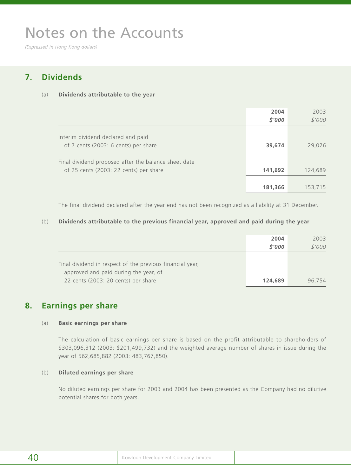*(Expressed in Hong Kong dollars)*

## **7. Dividends**

#### (a) **Dividends attributable to the year**

|                                                                                                | 2004<br>\$'000 | 2003<br>\$'000 |
|------------------------------------------------------------------------------------------------|----------------|----------------|
| Interim dividend declared and paid<br>of 7 cents (2003: 6 cents) per share                     | 39,674         | 29,026         |
| Final dividend proposed after the balance sheet date<br>of 25 cents (2003: 22 cents) per share | 141,692        | 124,689        |
|                                                                                                | 181,366        | 153,715        |

The final dividend declared after the year end has not been recognized as a liability at 31 December.

#### (b) **Dividends attributable to the previous financial year, approved and paid during the year**

|                                                           | 2004    | 2003   |
|-----------------------------------------------------------|---------|--------|
|                                                           | \$'000  | \$'000 |
|                                                           |         |        |
| Final dividend in respect of the previous financial year, |         |        |
| approved and paid during the year, of                     |         |        |
| 22 cents (2003: 20 cents) per share                       | 124,689 | 96.754 |

### **8. Earnings per share**

#### (a) **Basic earnings per share**

The calculation of basic earnings per share is based on the profit attributable to shareholders of \$303,096,312 (2003: \$201,499,732) and the weighted average number of shares in issue during the year of 562,685,882 (2003: 483,767,850).

#### (b) **Diluted earnings per share**

No diluted earnings per share for 2003 and 2004 has been presented as the Company had no dilutive potential shares for both years.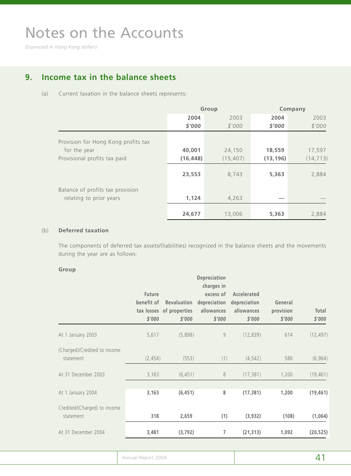*(Expressed in Hong Kong dollars)*

## **9. Income tax in the balance sheets**

#### (a) Current taxation in the balance sheets represents:

|                                     |           | Group     | Company   |           |  |
|-------------------------------------|-----------|-----------|-----------|-----------|--|
|                                     | 2004      | 2003      | 2004      | 2003      |  |
|                                     | \$'000    | \$'000    | \$'000    | \$'000    |  |
| Provision for Hong Kong profits tax |           |           |           |           |  |
| for the year                        | 40,001    | 24,150    | 18,559    | 17,597    |  |
| Provisional profits tax paid        | (16, 448) | (15, 407) | (13, 196) | (14, 713) |  |
|                                     | 23,553    | 8,743     | 5,363     | 2,884     |  |
| Balance of profits tax provision    |           |           |           |           |  |
| relating to prior years             | 1,124     | 4,263     |           |           |  |
|                                     | 24,677    | 13,006    | 5,363     | 2,884     |  |

#### (b) **Deferred taxation**

The components of deferred tax assets/(liabilities) recognized in the balance sheets and the movements during the year are as follows:

#### **Group**

|                                           | <b>Future</b><br>benefit of<br>\$'000 | Revaluation<br>tax losses of properties<br>\$'000 | Depreciation<br>charges in<br>excess of<br>depreciation<br>allowances<br>\$'000 | Accelerated<br>depreciation<br>allowances<br>\$'000 | General<br>provision<br>\$'000 | Total<br>\$'000 |
|-------------------------------------------|---------------------------------------|---------------------------------------------------|---------------------------------------------------------------------------------|-----------------------------------------------------|--------------------------------|-----------------|
| At 1 January 2003                         | 5,617                                 | (5,898)                                           | 9                                                                               | (12, 839)                                           | 614                            | (12, 497)       |
| (Charged)/Credited to income<br>statement | (2, 454)                              | (553)                                             | (1)                                                                             | (4, 542)                                            | 586                            | (6, 964)        |
| At 31 December 2003                       | 3,163                                 | (6, 451)                                          | 8                                                                               | (17, 381)                                           | 1,200                          | (19, 461)       |
| At 1 January 2004                         | 3,163                                 | (6, 451)                                          | 8                                                                               | (17, 381)                                           | 1,200                          | (19, 461)       |
| Credited/(Charged) to income<br>statement | 318                                   | 2,659                                             | (1)                                                                             | (3,932)                                             | (108)                          | (1,064)         |
| At 31 December 2004                       | 3,481                                 | (3, 792)                                          | 7                                                                               | (21, 313)                                           | 1,092                          | (20, 525)       |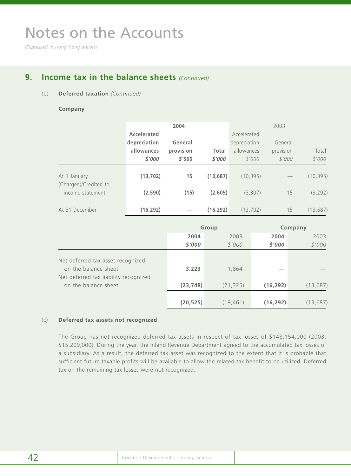*(Expressed in Hong Kong dollars)*

## **9. Income tax in the balance sheets** *(Continued)*

#### (b) **Deferred taxation** *(Continued)*

#### **Company**

|                                       |              | 2004      |           |              | 2003      |           |
|---------------------------------------|--------------|-----------|-----------|--------------|-----------|-----------|
|                                       | Accelerated  |           |           | Accelerated  |           |           |
|                                       | depreciation | General   |           | depreciation | General   |           |
|                                       | allowances   | provision | Total     | allowances   | provision | Total     |
|                                       | \$'000       | \$'000    | \$'000    | \$'000       | \$'000    | \$'000    |
| At 1 January<br>(Charged)/Credited to | (13, 702)    | 15        | (13,687)  | (10, 395)    |           | (10, 395) |
| income statement                      | (2,590)      | (15)      | (2,605)   | (3,307)      | 15        | (3, 292)  |
| At 31 December                        | (16, 292)    |           | (16, 292) | (13, 702)    | 15        | (13, 687) |

|                                                                                                    | Group     |           | Company   |           |
|----------------------------------------------------------------------------------------------------|-----------|-----------|-----------|-----------|
|                                                                                                    | 2004      | 2003      | 2004      | 2003      |
|                                                                                                    | \$'000    | \$'000    | \$'000    | \$'000    |
| Net deferred tax asset recognized<br>on the balance sheet<br>Net deferred tax liability recognized | 3,223     | 1,864     |           |           |
| on the balance sheet                                                                               | (23, 748) | (21, 325) | (16, 292) | (13, 687) |
|                                                                                                    | (20, 525) | (19, 461) | (16, 292) | (13, 687) |

#### (c) **Deferred tax assets not recognized**

The Group has not recognized deferred tax assets in respect of tax losses of \$148,154,000 (2003: \$15,209,000). During the year, the Inland Revenue Department agreed to the accumulated tax losses of a subsidiary. As a result, the deferred tax asset was recognized to the extent that it is probable that sufficient future taxable profits will be available to allow the related tax benefit to be utilized. Deferred tax on the remaining tax losses were not recognized.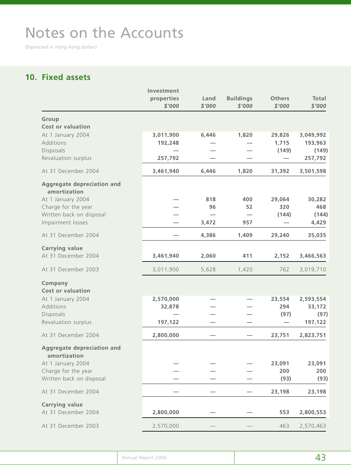*(Expressed in Hong Kong dollars)*

## **10. Fixed assets**

| 29,826<br>1,715<br>(149)<br>31,392<br>29,064<br>320<br>(144) | 3,049,992<br>193,963<br>257,792<br>3,501,598<br>30,282<br>468 |
|--------------------------------------------------------------|---------------------------------------------------------------|
|                                                              | (149)                                                         |
|                                                              |                                                               |
|                                                              |                                                               |
|                                                              |                                                               |
|                                                              |                                                               |
|                                                              |                                                               |
|                                                              | (144)<br>4,429                                                |
| 29,240                                                       | 35,035                                                        |
| 2,152                                                        | 3,466,563                                                     |
| 762                                                          | 3,019,710                                                     |
|                                                              |                                                               |
| 23,554<br>294                                                | 2,593,554<br>33,172                                           |
| (97)                                                         | (97)                                                          |
|                                                              | 197,122                                                       |
| 23,751                                                       | 2,823,751                                                     |
|                                                              |                                                               |
|                                                              | 23,091                                                        |
| (93)                                                         | 200<br>(93)                                                   |
| 23,198                                                       | 23,198                                                        |
| 553                                                          | 2,800,553                                                     |
| 463                                                          | 2,570,463                                                     |
|                                                              | 23,091<br>200                                                 |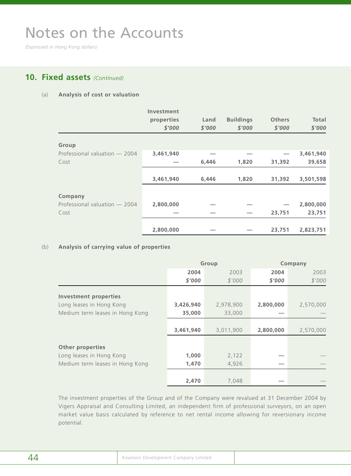*(Expressed in Hong Kong dollars)*

## **10. Fixed assets** *(Continued)*

#### (a) **Analysis of cost or valuation**

|                               | Investment<br>properties<br>\$'000 | Land<br>\$'000 | <b>Buildings</b><br>\$'000 | <b>Others</b><br>\$'000 | <b>Total</b><br>\$'000 |
|-------------------------------|------------------------------------|----------------|----------------------------|-------------------------|------------------------|
| Group                         |                                    |                |                            |                         |                        |
| Professional valuation - 2004 | 3,461,940                          |                |                            |                         | 3,461,940              |
| Cost                          |                                    | 6,446          | 1,820                      | 31,392                  | 39,658                 |
|                               | 3,461,940                          | 6,446          | 1,820                      | 31,392                  | 3,501,598              |
| Company                       |                                    |                |                            |                         |                        |
| Professional valuation - 2004 | 2,800,000                          |                |                            |                         | 2,800,000              |
| Cost                          |                                    |                |                            | 23,751                  | 23,751                 |
|                               | 2,800,000                          |                |                            | 23,751                  | 2,823,751              |

#### (b) **Analysis of carrying value of properties**

|                                 | Group     |           | Company   |           |
|---------------------------------|-----------|-----------|-----------|-----------|
|                                 | 2004      | 2003      | 2004      | 2003      |
|                                 | \$'000    | \$'000    | \$'000    | \$'000    |
| <b>Investment properties</b>    |           |           |           |           |
| Long leases in Hong Kong        | 3,426,940 | 2,978,900 | 2,800,000 | 2,570,000 |
| Medium term leases in Hong Kong | 35,000    | 33,000    |           |           |
|                                 |           |           |           |           |
|                                 | 3,461,940 | 3,011,900 | 2,800,000 | 2,570,000 |
| <b>Other properties</b>         |           |           |           |           |
| Long leases in Hong Kong        | 1,000     | 2,122     |           |           |
| Medium term leases in Hong Kong | 1,470     | 4,926     |           |           |
|                                 |           |           |           |           |
|                                 | 2,470     | 7,048     |           |           |

The investment properties of the Group and of the Company were revalued at 31 December 2004 by Vigers Appraisal and Consulting Limited, an independent firm of professional surveyors, on an open market value basis calculated by reference to net rental income allowing for reversionary income potential.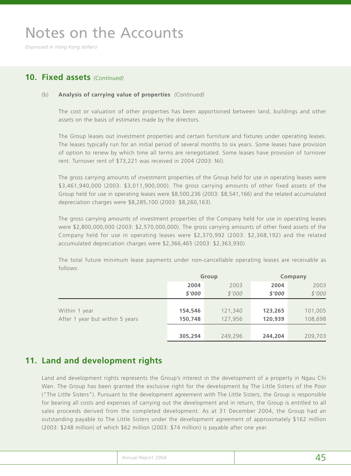*(Expressed in Hong Kong dollars)*

### **10. Fixed assets** *(Continued)*

#### (b) **Analysis of carrying value of properties** *(Continued)*

The cost or valuation of other properties has been apportioned between land, buildings and other assets on the basis of estimates made by the directors.

The Group leases out investment properties and certain furniture and fixtures under operating leases. The leases typically run for an initial period of several months to six years. Some leases have provision of option to renew by which time all terms are renegotiated. Some leases have provision of turnover rent. Turnover rent of \$73,221 was received in 2004 (2003: Nil).

The gross carrying amounts of investment properties of the Group held for use in operating leases were \$3,461,940,000 (2003: \$3,011,900,000). The gross carrying amounts of other fixed assets of the Group held for use in operating leases were \$8,500,236 (2003: \$8,541,166) and the related accumulated depreciation charges were \$8,285,100 (2003: \$8,260,163).

The gross carrying amounts of investment properties of the Company held for use in operating leases were \$2,800,000,000 (2003: \$2,570,000,000). The gross carrying amounts of other fixed assets of the Company held for use in operating leases were \$2,370,992 (2003: \$2,368,192) and the related accumulated depreciation charges were \$2,366,465 (2003: \$2,363,930).

The total future minimum lease payments under non-cancellable operating leases are receivable as follows:

|                                 | Group   |         | Company |         |
|---------------------------------|---------|---------|---------|---------|
|                                 | 2004    | 2003    | 2004    | 2003    |
|                                 | \$'000  | \$'000  | \$'000  | \$'000  |
|                                 |         |         |         |         |
| Within 1 year                   | 154,546 | 121,340 | 123,265 | 101,005 |
| After 1 year but within 5 years | 150,748 | 127,956 | 120,939 | 108,698 |
|                                 |         |         |         |         |
|                                 | 305,294 | 249,296 | 244,204 | 209,703 |

## **11. Land and development rights**

Land and development rights represents the Group's interest in the development of a property in Ngau Chi Wan. The Group has been granted the exclusive right for the development by The Little Sisters of the Poor ("The Little Sisters"). Pursuant to the development agreement with The Little Sisters, the Group is responsible for bearing all costs and expenses of carrying out the development and in return, the Group is entitled to all sales proceeds derived from the completed development. As at 31 December 2004, the Group had an outstanding payable to The Little Sisters under the development agreement of approximately \$162 million (2003: \$248 million) of which \$62 million (2003: \$74 million) is payable after one year.

|  | Annual Report 2004<br>. | __ |
|--|-------------------------|----|
|--|-------------------------|----|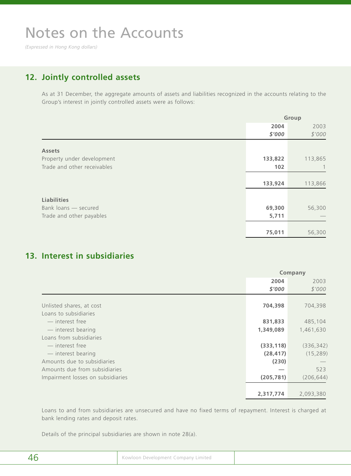*(Expressed in Hong Kong dollars)*

## **12. Jointly controlled assets**

As at 31 December, the aggregate amounts of assets and liabilities recognized in the accounts relating to the Group's interest in jointly controlled assets were as follows:

|                             |         | Group   |
|-----------------------------|---------|---------|
|                             | 2004    | 2003    |
|                             | \$'000  | \$'000  |
| <b>Assets</b>               |         |         |
| Property under development  | 133,822 | 113,865 |
| Trade and other receivables | 102     |         |
|                             |         |         |
|                             | 133,924 | 113,866 |
| <b>Liabilities</b>          |         |         |
| Bank loans - secured        | 69,300  | 56,300  |
| Trade and other payables    | 5,711   |         |
|                             |         |         |
|                             | 75,011  | 56,300  |

## **13. Interest in subsidiaries**

|                                   | Company    |            |
|-----------------------------------|------------|------------|
|                                   | 2004       | 2003       |
|                                   | \$'000     | \$'000     |
|                                   |            |            |
| Unlisted shares, at cost          | 704,398    | 704,398    |
| Loans to subsidiaries             |            |            |
| - interest free                   | 831,833    | 485,104    |
| - interest bearing                | 1,349,089  | 1,461,630  |
| Loans from subsidiaries           |            |            |
| - interest free                   | (333, 118) | (336, 342) |
| - interest bearing                | (28, 417)  | (15, 289)  |
| Amounts due to subsidiaries       | (230)      |            |
| Amounts due from subsidiaries     |            | 523        |
| Impairment losses on subsidiaries | (205, 781) | (206, 644) |
|                                   |            |            |
|                                   | 2,317,774  | 2,093,380  |

Loans to and from subsidiaries are unsecured and have no fixed terms of repayment. Interest is charged at bank lending rates and deposit rates.

Details of the principal subsidiaries are shown in note 28(a).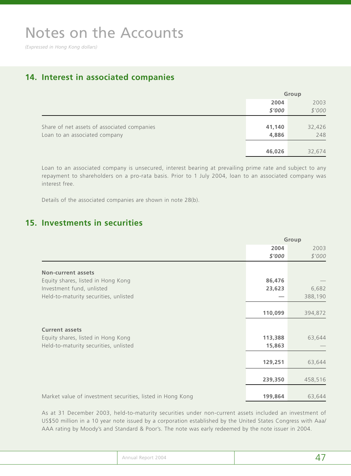*(Expressed in Hong Kong dollars)*

## **14. Interest in associated companies**

|                                             |        | Group  |
|---------------------------------------------|--------|--------|
|                                             | 2004   | 2003   |
|                                             | \$'000 | \$'000 |
|                                             |        |        |
| Share of net assets of associated companies | 41,140 | 32,426 |
| Loan to an associated company               | 4,886  | 248    |
|                                             |        |        |
|                                             | 46,026 | 32,674 |

Loan to an associated company is unsecured, interest bearing at prevailing prime rate and subject to any repayment to shareholders on a pro-rata basis. Prior to 1 July 2004, loan to an associated company was interest free.

Details of the associated companies are shown in note 28(b).

## **15. Investments in securities**

|                                                            | Group   |         |
|------------------------------------------------------------|---------|---------|
|                                                            | 2004    | 2003    |
|                                                            | \$'000  | \$'000  |
|                                                            |         |         |
| <b>Non-current assets</b>                                  |         |         |
| Equity shares, listed in Hong Kong                         | 86,476  |         |
| Investment fund, unlisted                                  | 23,623  | 6,682   |
| Held-to-maturity securities, unlisted                      |         | 388,190 |
|                                                            |         |         |
|                                                            | 110,099 | 394,872 |
|                                                            |         |         |
| <b>Current assets</b>                                      |         |         |
| Equity shares, listed in Hong Kong                         | 113,388 | 63,644  |
| Held-to-maturity securities, unlisted                      | 15,863  |         |
|                                                            |         |         |
|                                                            | 129,251 | 63,644  |
|                                                            |         |         |
|                                                            | 239,350 | 458,516 |
|                                                            |         |         |
| Market value of investment securities, listed in Hong Kong | 199,864 | 63,644  |

As at 31 December 2003, held-to-maturity securities under non-current assets included an investment of US\$50 million in a 10 year note issued by a corporation established by the United States Congress with Aaa/ AAA rating by Moody's and Standard & Poor's. The note was early redeemed by the note issuer in 2004.

| Report 2004<br>Annual |  |
|-----------------------|--|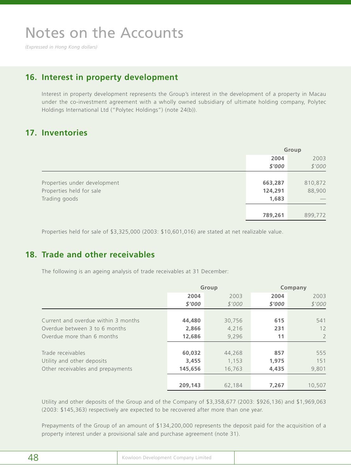*(Expressed in Hong Kong dollars)*

### **16. Interest in property development**

Interest in property development represents the Group's interest in the development of a property in Macau under the co-investment agreement with a wholly owned subsidiary of ultimate holding company, Polytec Holdings International Ltd ("Polytec Holdings") (note 24(b)).

### **17. Inventories**

|                              | Group   |         |
|------------------------------|---------|---------|
|                              | 2004    | 2003    |
|                              | \$'000  | \$'000  |
|                              |         |         |
| Properties under development | 663,287 | 810,872 |
| Properties held for sale     | 124,291 | 88,900  |
| Trading goods                | 1,683   |         |
|                              |         |         |
|                              | 789,261 | 899,772 |

Properties held for sale of \$3,325,000 (2003: \$10,601,016) are stated at net realizable value.

## **18. Trade and other receivables**

The following is an ageing analysis of trade receivables at 31 December:

|                                     |         | Group  | Company |                |  |
|-------------------------------------|---------|--------|---------|----------------|--|
|                                     | 2004    | 2003   | 2004    | 2003           |  |
|                                     | \$'000  | \$'000 | \$'000  | \$'000         |  |
|                                     |         |        |         |                |  |
| Current and overdue within 3 months | 44,480  | 30,756 | 615     | 541            |  |
| Overdue between 3 to 6 months       | 2,866   | 4,216  | 231     | 12             |  |
| Overdue more than 6 months          | 12,686  | 9,296  | 11      | $\overline{2}$ |  |
|                                     |         |        |         |                |  |
| Trade receivables                   | 60,032  | 44,268 | 857     | 555            |  |
| Utility and other deposits          | 3,455   | 1,153  | 1,975   | 151            |  |
| Other receivables and prepayments   | 145,656 | 16,763 | 4,435   | 9,801          |  |
|                                     |         |        |         |                |  |
|                                     | 209,143 | 62,184 | 7,267   | 10,507         |  |

Utility and other deposits of the Group and of the Company of \$3,358,677 (2003: \$926,136) and \$1,969,063 (2003: \$145,363) respectively are expected to be recovered after more than one year.

Prepayments of the Group of an amount of \$134,200,000 represents the deposit paid for the acquisition of a property interest under a provisional sale and purchase agreement (note 31).

| . .<br>٠<br>٧<br>____<br>۰.<br>×<br>٧<br>$\sim$ |
|-------------------------------------------------|
|-------------------------------------------------|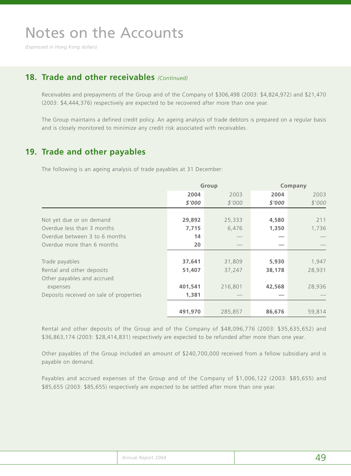*(Expressed in Hong Kong dollars)*

### **18. Trade and other receivables** *(Continued)*

Receivables and prepayments of the Group and of the Company of \$306,498 (2003: \$4,824,972) and \$21,470 (2003: \$4,444,376) respectively are expected to be recovered after more than one year.

The Group maintains a defined credit policy. An ageing analysis of trade debtors is prepared on a regular basis and is closely monitored to minimize any credit risk associated with receivables.

### **19. Trade and other payables**

The following is an ageing analysis of trade payables at 31 December:

|                                         | Group   |         |        | Company |
|-----------------------------------------|---------|---------|--------|---------|
|                                         | 2004    | 2003    | 2004   | 2003    |
|                                         | \$'000  | \$'000  | \$'000 | \$'000  |
|                                         |         |         |        |         |
| Not yet due or on demand                | 29,892  | 25,333  | 4,580  | 211     |
| Overdue less than 3 months              | 7,715   | 6,476   | 1,350  | 1,736   |
| Overdue between 3 to 6 months           | 14      |         |        |         |
| Overdue more than 6 months              | 20      |         |        |         |
|                                         |         |         |        |         |
| Trade payables                          | 37,641  | 31,809  | 5,930  | 1,947   |
| Rental and other deposits               | 51,407  | 37,247  | 38,178 | 28,931  |
| Other payables and accrued              |         |         |        |         |
| expenses                                | 401,541 | 216,801 | 42,568 | 28,936  |
| Deposits received on sale of properties | 1,381   |         |        |         |
|                                         |         |         |        |         |
|                                         | 491,970 | 285,857 | 86,676 | 59,814  |

Rental and other deposits of the Group and of the Company of \$48,096,776 (2003: \$35,635,652) and \$36,863,174 (2003: \$28,414,831) respectively are expected to be refunded after more than one year.

Other payables of the Group included an amount of \$240,700,000 received from a fellow subsidiary and is payable on demand.

Payables and accrued expenses of the Group and of the Company of \$1,006,122 (2003: \$85,655) and \$85,655 (2003: \$85,655) respectively are expected to be settled after more than one year.

| Annual Report 2004 |  |
|--------------------|--|
|--------------------|--|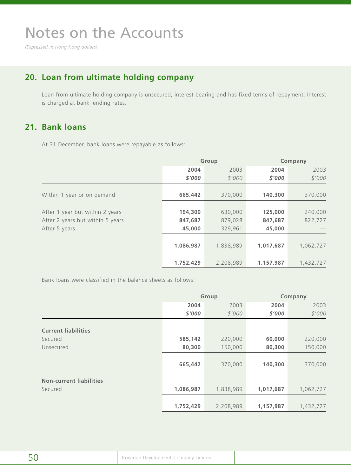*(Expressed in Hong Kong dollars)*

## **20. Loan from ultimate holding company**

Loan from ultimate holding company is unsecured, interest bearing and has fixed terms of repayment. Interest is charged at bank lending rates.

### **21. Bank loans**

At 31 December, bank loans were repayable as follows:

|                                  | Group     |           | Company   |           |
|----------------------------------|-----------|-----------|-----------|-----------|
|                                  | 2004      | 2003      | 2004      | 2003      |
|                                  | \$'000    | \$'000    | \$'000    | \$'000    |
|                                  |           |           |           |           |
| Within 1 year or on demand       | 665,442   | 370,000   | 140,300   | 370,000   |
|                                  |           |           |           |           |
| After 1 year but within 2 years  | 194,300   | 630,000   | 125,000   | 240,000   |
| After 2 years but within 5 years | 847,687   | 879,028   | 847,687   | 822,727   |
| After 5 years                    | 45,000    | 329,961   | 45,000    |           |
|                                  |           |           |           |           |
|                                  | 1,086,987 | 1,838,989 | 1,017,687 | 1,062,727 |
|                                  |           |           |           |           |
|                                  | 1,752,429 | 2,208,989 | 1,157,987 | 1,432,727 |

Bank loans were classified in the balance sheets as follows:

|                                | Group     |           |           | Company   |
|--------------------------------|-----------|-----------|-----------|-----------|
|                                | 2004      | 2003      | 2004      | 2003      |
|                                | \$'000    | \$'000    | \$'000    | \$'000    |
|                                |           |           |           |           |
| <b>Current liabilities</b>     |           |           |           |           |
| Secured                        | 585,142   | 220,000   | 60,000    | 220,000   |
| Unsecured                      | 80,300    | 150,000   | 80,300    | 150,000   |
|                                |           |           |           |           |
|                                | 665,442   | 370,000   | 140,300   | 370,000   |
|                                |           |           |           |           |
| <b>Non-current liabilities</b> |           |           |           |           |
| Secured                        | 1,086,987 | 1,838,989 | 1,017,687 | 1,062,727 |
|                                |           |           |           |           |
|                                | 1,752,429 | 2,208,989 | 1,157,987 | 1,432,727 |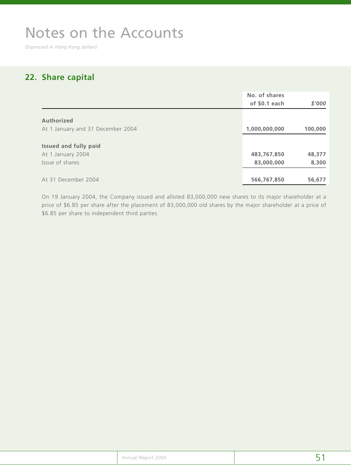*(Expressed in Hong Kong dollars)*

## **22. Share capital**

|                                   | No. of shares  |         |
|-----------------------------------|----------------|---------|
|                                   | of $$0.1$ each | \$'000  |
| Authorized                        |                |         |
| At 1 January and 31 December 2004 | 1,000,000,000  | 100,000 |
| <b>Issued and fully paid</b>      |                |         |
| At 1 January 2004                 | 483,767,850    | 48,377  |
| Issue of shares                   | 83,000,000     | 8,300   |
| At 31 December 2004               | 566,767,850    | 56,677  |

On 19 January 2004, the Company issued and alloted 83,000,000 new shares to its major shareholder at a price of \$6.85 per share after the placement of 83,000,000 old shares by the major shareholder at a price of \$6.85 per share to independent third parties.

|  | Annual Report 2004 |  |
|--|--------------------|--|
|--|--------------------|--|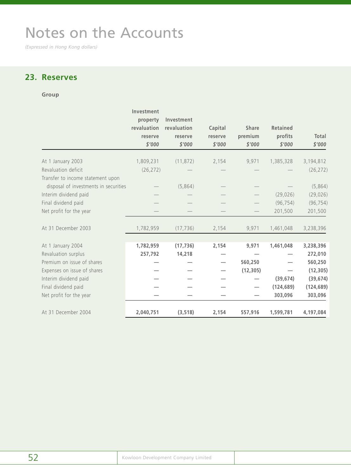*(Expressed in Hong Kong dollars)*

## **23. Reserves**

#### **Group**

|                                       | Investment<br>property<br>revaluation<br>reserve<br>\$'000 | Investment<br>revaluation<br>reserve<br>\$'000 | Capital<br>reserve<br>\$'000 | <b>Share</b><br>premium<br>\$'000 | <b>Retained</b><br>profits<br>\$'000 | Total<br>\$'000 |
|---------------------------------------|------------------------------------------------------------|------------------------------------------------|------------------------------|-----------------------------------|--------------------------------------|-----------------|
| At 1 January 2003                     | 1,809,231                                                  | (11, 872)                                      | 2,154                        | 9,971                             | 1,385,328                            | 3,194,812       |
| Revaluation deficit                   | (26, 272)                                                  |                                                |                              |                                   |                                      | (26, 272)       |
| Transfer to income statement upon     |                                                            |                                                |                              |                                   |                                      |                 |
| disposal of investments in securities |                                                            | (5,864)                                        |                              |                                   |                                      | (5,864)         |
| Interim dividend paid                 |                                                            |                                                |                              |                                   | (29, 026)                            | (29, 026)       |
| Final dividend paid                   |                                                            |                                                |                              |                                   | (96, 754)                            | (96, 754)       |
| Net profit for the year               |                                                            |                                                |                              |                                   | 201,500                              | 201,500         |
| At 31 December 2003                   | 1,782,959                                                  | (17, 736)                                      | 2,154                        | 9,971                             | 1,461,048                            | 3,238,396       |
| At 1 January 2004                     | 1,782,959                                                  | (17, 736)                                      | 2,154                        | 9,971                             | 1,461,048                            | 3,238,396       |
| Revaluation surplus                   | 257,792                                                    | 14,218                                         |                              |                                   |                                      | 272,010         |
| Premium on issue of shares            |                                                            |                                                |                              | 560,250                           |                                      | 560,250         |
| Expenses on issue of shares           |                                                            |                                                |                              | (12, 305)                         |                                      | (12, 305)       |
| Interim dividend paid                 |                                                            |                                                |                              |                                   | (39, 674)                            | (39, 674)       |
| Final dividend paid                   |                                                            |                                                |                              |                                   | (124, 689)                           | (124, 689)      |
| Net profit for the year               |                                                            |                                                |                              |                                   | 303,096                              | 303,096         |
| At 31 December 2004                   | 2,040,751                                                  | (3, 518)                                       | 2,154                        | 557,916                           | 1,599,781                            | 4,197,084       |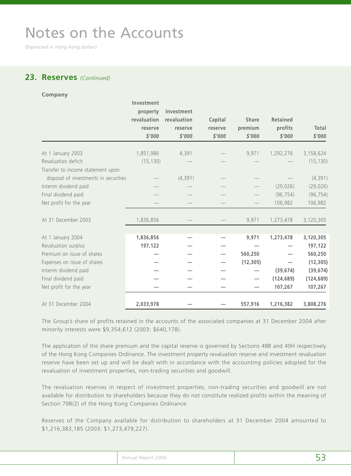*(Expressed in Hong Kong dollars)*

### **23. Reserves** *(Continued)*

| Company                               |                                                            |                                                |                              |                                   |                                      |                 |
|---------------------------------------|------------------------------------------------------------|------------------------------------------------|------------------------------|-----------------------------------|--------------------------------------|-----------------|
|                                       | Investment<br>property<br>revaluation<br>reserve<br>\$'000 | Investment<br>revaluation<br>reserve<br>\$'000 | Capital<br>reserve<br>\$'000 | <b>Share</b><br>premium<br>\$'000 | <b>Retained</b><br>profits<br>\$'000 | Total<br>\$'000 |
| At 1 January 2003                     | 1,851,986                                                  | 4,391                                          |                              | 9,971                             | 1,292,276                            | 3,158,624       |
| Revaluation deficit                   | (15, 130)                                                  |                                                |                              |                                   |                                      | (15, 130)       |
| Transfer to income statement upon     |                                                            |                                                |                              |                                   |                                      |                 |
| disposal of investments in securities |                                                            | (4, 391)                                       |                              |                                   |                                      | (4, 391)        |
| Interim dividend paid                 |                                                            |                                                |                              |                                   | (29, 026)                            | (29, 026)       |
| Final dividend paid                   |                                                            |                                                |                              |                                   | (96, 754)                            | (96, 754)       |
| Net profit for the year               |                                                            |                                                |                              |                                   | 106,982                              | 106,982         |
| At 31 December 2003                   | 1,836,856                                                  |                                                |                              | 9,971                             | 1,273,478                            | 3,120,305       |
| At 1 January 2004                     | 1,836,856                                                  |                                                |                              | 9,971                             | 1,273,478                            | 3,120,305       |
| Revaluation surplus                   | 197,122                                                    |                                                |                              |                                   |                                      | 197,122         |
| Premium on issue of shares            |                                                            |                                                |                              | 560,250                           |                                      | 560,250         |
| Expenses on issue of shares           |                                                            |                                                |                              | (12, 305)                         |                                      | (12, 305)       |
| Interim dividend paid                 |                                                            |                                                |                              |                                   | (39, 674)                            | (39, 674)       |
| Final dividend paid                   |                                                            |                                                |                              |                                   | (124, 689)                           | (124, 689)      |
| Net profit for the year               |                                                            |                                                |                              |                                   | 107,267                              | 107,267         |
| At 31 December 2004                   | 2,033,978                                                  |                                                |                              | 557,916                           | 1,216,382                            | 3,808,276       |

The Group's share of profits retained in the accounts of the associated companies at 31 December 2004 after minority interests were \$9,354,612 (2003: \$640,178).

The application of the share premium and the capital reserve is governed by Sections 48B and 49H respectively of the Hong Kong Companies Ordinance. The investment property revaluation reserve and investment revaluation reserve have been set up and will be dealt with in accordance with the accounting policies adopted for the revaluation of investment properties, non-trading securities and goodwill.

The revaluation reserves in respect of investment properties, non-trading securities and goodwill are not available for distribution to shareholders because they do not constitute realized profits within the meaning of Section 79B(2) of the Hong Kong Companies Ordinance.

Reserves of the Company available for distribution to shareholders at 31 December 2004 amounted to \$1,216,383,185 (2003: \$1,273,479,227).

| Annual Report 2004 |  |
|--------------------|--|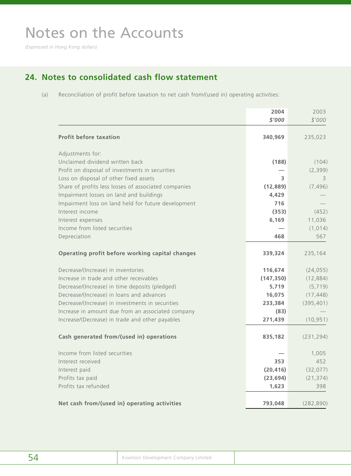*(Expressed in Hong Kong dollars)*

## **24. Notes to consolidated cash flow statement**

(a) Reconciliation of profit before taxation to net cash from/(used in) operating activities:

|                                                      | 2004<br>\$'000 | 2003<br>\$'000 |
|------------------------------------------------------|----------------|----------------|
| <b>Profit before taxation</b>                        | 340,969        | 235,023        |
| Adjustments for:                                     |                |                |
| Unclaimed dividend written back                      | (188)          | (104)          |
| Profit on disposal of investments in securities      |                | (2, 399)       |
| Loss on disposal of other fixed assets               | 3              | 3              |
| Share of profits less losses of associated companies | (12, 889)      | (7, 496)       |
| Impairment losses on land and buildings              | 4,429          |                |
| Impairment loss on land held for future development  | 716            |                |
| Interest income                                      | (353)          | (452)          |
| Interest expenses                                    | 6,169          | 11,036         |
| Income from listed securities                        |                | (1, 014)       |
| Depreciation                                         | 468            | 567            |
| Operating profit before working capital changes      | 339,324        | 235,164        |
| Decrease/(Increase) in inventories                   | 116,674        | (24, 055)      |
| Increase in trade and other receivables              | (147, 350)     | (12, 884)      |
| Decrease/(Increase) in time deposits (pledged)       | 5,719          | (5, 719)       |
| Decrease/(Increase) in loans and advances            | 16,075         | (17, 448)      |
| Decrease/(Increase) in investments in securities     | 233,384        | (395, 401)     |
| Increase in amount due from an associated company    | (83)           |                |
| Increase/(Decrease) in trade and other payables      | 271,439        | (10, 951)      |
| Cash generated from/(used in) operations             | 835,182        | (231, 294)     |
| Income from listed securities                        |                | 1,005          |
| Interest received                                    | 353            | 452            |
| Interest paid                                        | (20, 416)      | (32, 077)      |
| Profits tax paid                                     | (23, 694)      | (21, 374)      |
| Profits tax refunded                                 | 1,623          | 398            |
| Net cash from/(used in) operating activities         | 793,048        | (282, 890)     |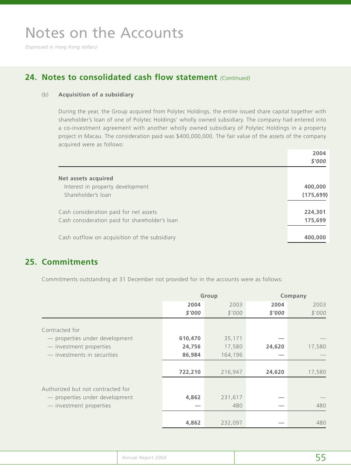*(Expressed in Hong Kong dollars)*

## **24. Notes to consolidated cash flow statement** *(Continued)*

#### (b) **Acquisition of a subsidiary**

During the year, the Group acquired from Polytec Holdings, the entire issued share capital together with shareholder's loan of one of Polytec Holdings' wholly owned subsidiary. The company had entered into a co-investment agreement with another wholly owned subsidiary of Polytec Holdings in a property project in Macau. The consideration paid was \$400,000,000. The fair value of the assets of the company acquired were as follows:

|                                                | 2004       |
|------------------------------------------------|------------|
|                                                | \$'000     |
| Net assets acquired                            |            |
| Interest in property development               | 400,000    |
| Shareholder's loan                             | (175, 699) |
| Cash consideration paid for net assets         | 224,301    |
| Cash consideration paid for shareholder's loan | 175,699    |
| Cash outflow on acquisition of the subsidiary  | 400,000    |

### **25. Commitments**

Commitments outstanding at 31 December not provided for in the accounts were as follows:

|                                   |         | Group   |        | Company |  |
|-----------------------------------|---------|---------|--------|---------|--|
|                                   | 2004    | 2003    | 2004   | 2003    |  |
|                                   | \$'000  | \$'000  | \$'000 | \$'000  |  |
| Contracted for                    |         |         |        |         |  |
| - properties under development    | 610,470 | 35,171  |        |         |  |
| - investment properties           | 24,756  | 17,580  | 24,620 | 17,580  |  |
| — investments in securities       | 86,984  | 164,196 |        |         |  |
|                                   | 722,210 | 216,947 | 24,620 | 17,580  |  |
| Authorized but not contracted for |         |         |        |         |  |
| - properties under development    | 4,862   | 231,617 |        |         |  |
| - investment properties           |         | 480     |        | 480     |  |
|                                   | 4,862   | 232,097 |        | 480     |  |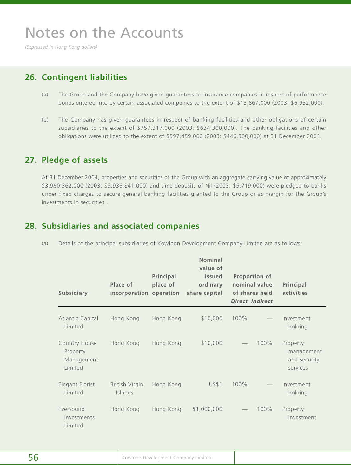*(Expressed in Hong Kong dollars)*

## **26. Contingent liabilities**

- (a) The Group and the Company have given guarantees to insurance companies in respect of performance bonds entered into by certain associated companies to the extent of \$13,867,000 (2003: \$6,952,000).
- (b) The Company has given guarantees in respect of banking facilities and other obligations of certain subsidiaries to the extent of \$757,317,000 (2003: \$634,300,000). The banking facilities and other obligations were utilized to the extent of \$597,459,000 (2003: \$446,300,000) at 31 December 2004.

### **27. Pledge of assets**

At 31 December 2004, properties and securities of the Group with an aggregate carrying value of approximately \$3,960,362,000 (2003: \$3,936,841,000) and time deposits of Nil (2003: \$5,719,000) were pledged to banks under fixed charges to secure general banking facilities granted to the Group or as margin for the Group's investments in securities .

## **28. Subsidiaries and associated companies**

| (a) Details of the principal subsidiaries of Kowloon Development Company Limited are as follows: |  |  |  |
|--------------------------------------------------------------------------------------------------|--|--|--|
|                                                                                                  |  |  |  |

| <b>Subsidiary</b>                                  | Place of<br>incorporation operation | Principal<br>place of | <b>Nominal</b><br>value of<br>issued<br>ordinary<br>share capital |      | <b>Proportion of</b><br>nominal value<br>of shares held<br><b>Direct Indirect</b> | Principal<br>activities                            |
|----------------------------------------------------|-------------------------------------|-----------------------|-------------------------------------------------------------------|------|-----------------------------------------------------------------------------------|----------------------------------------------------|
| Atlantic Capital<br>Limited                        | Hong Kong                           | Hong Kong             | \$10,000                                                          | 100% |                                                                                   | Investment<br>holding                              |
| Country House<br>Property<br>Management<br>Limited | Hong Kong                           | Hong Kong             | \$10,000                                                          |      | 100%                                                                              | Property<br>management<br>and security<br>services |
| Elegant Florist<br>Limited                         | British Virgin<br>Islands           | Hong Kong             | <b>US\$1</b>                                                      | 100% |                                                                                   | Investment<br>holding                              |
| Eversound<br>Investments<br>Limited                | Hong Kong                           | Hong Kong             | \$1,000,000                                                       |      | 100%                                                                              | Property<br>investment                             |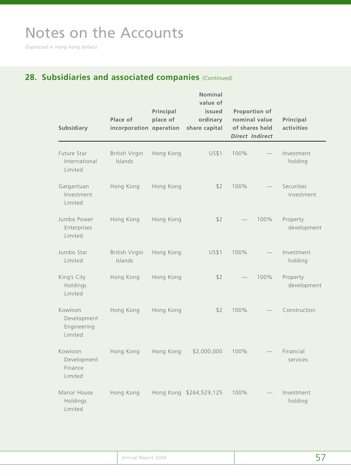*(Expressed in Hong Kong dollars)*

## **28. Subsidiaries and associated companies** *(Continued)*

| <b>Subsidiary</b>                                | Place of<br>incorporation operation | Principal<br>place of | <b>Nominal</b><br>value of<br>issued<br>ordinary<br>share capital |      | Proportion of<br>nominal value<br>of shares held<br><b>Direct Indirect</b> | Principal<br>activities  |
|--------------------------------------------------|-------------------------------------|-----------------------|-------------------------------------------------------------------|------|----------------------------------------------------------------------------|--------------------------|
| Future Star<br>International<br>Limited          | British Virgin<br>Islands           | Hong Kong             | <b>US\$1</b>                                                      | 100% |                                                                            | Investment<br>holding    |
| Gargantuan<br>Investment<br>Limited              | Hong Kong                           | Hong Kong             | \$2                                                               | 100% |                                                                            | Securities<br>investment |
| Jumbo Power<br>Enterprises<br>Limited            | Hong Kong                           | Hong Kong             | \$2                                                               |      | 100%                                                                       | Property<br>development  |
| Jumbo Star<br>Limited                            | British Virgin<br>Islands           | Hong Kong             | <b>US\$1</b>                                                      | 100% |                                                                            | Investment<br>holding    |
| King's City<br>Holdings<br>Limited               | Hong Kong                           | Hong Kong             | \$2                                                               |      | 100%                                                                       | Property<br>development  |
| Kowloon<br>Development<br>Engineering<br>Limited | Hong Kong                           | Hong Kong             | \$2                                                               | 100% |                                                                            | Construction             |
| Kowloon<br>Development<br>Finance<br>Limited     | Hong Kong                           | Hong Kong             | \$2,000,000                                                       | 100% |                                                                            | Financial<br>services    |
| Manor House<br>Holdings<br>Limited               | Hong Kong                           |                       | Hong Kong \$264,529,125                                           | 100% |                                                                            | Investment<br>holding    |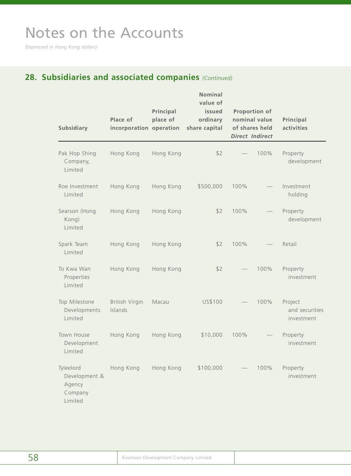*(Expressed in Hong Kong dollars)*

## **28. Subsidiaries and associated companies** *(Continued)*

| <b>Subsidiary</b>                                          | Place of<br>incorporation operation | Principal<br>place of | <b>Nominal</b><br>value of<br>issued<br>ordinary<br>share capital |      | <b>Proportion of</b><br>nominal value<br>of shares held<br><b>Direct Indirect</b> | Principal<br>activities                 |
|------------------------------------------------------------|-------------------------------------|-----------------------|-------------------------------------------------------------------|------|-----------------------------------------------------------------------------------|-----------------------------------------|
| Pak Hop Shing<br>Company,<br>Limited                       | Hong Kong                           | Hong Kong             | \$2                                                               |      | 100%                                                                              | Property<br>development                 |
| Roe Investment<br>Limited                                  | Hong Kong                           | Hong Kong             | \$500,000                                                         | 100% |                                                                                   | Investment<br>holding                   |
| Searson (Hong<br>Kong)<br>Limited                          | Hong Kong                           | Hong Kong             | \$2                                                               | 100% |                                                                                   | Property<br>development                 |
| Spark Team<br>Limited                                      | Hong Kong                           | Hong Kong             | \$2                                                               | 100% |                                                                                   | Retail                                  |
| To Kwa Wan<br>Properties<br>Limited                        | Hong Kong                           | Hong Kong             | \$2                                                               |      | 100%                                                                              | Property<br>investment                  |
| Top Milestone<br>Developments<br>Limited                   | British Virgin<br>Islands           | Macau                 | US\$100                                                           |      | 100%                                                                              | Project<br>and securities<br>investment |
| Town House<br>Development<br>Limited                       | Hong Kong                           | Hong Kong             | \$10,000                                                          | 100% |                                                                                   | Property<br>investment                  |
| Tyleelord<br>Development &<br>Agency<br>Company<br>Limited | Hong Kong                           | Hong Kong             | \$100,000                                                         |      | 100%                                                                              | Property<br>investment                  |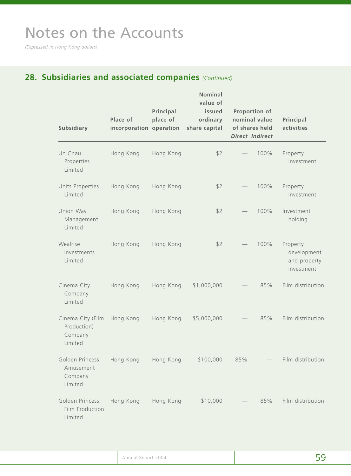*(Expressed in Hong Kong dollars)*

## **28. Subsidiaries and associated companies** *(Continued)*

| <b>Subsidiary</b>                                      | Place of<br>incorporation operation | Principal<br>place of | <b>Nominal</b><br>value of<br>issued<br>ordinary<br>share capital |     | <b>Proportion of</b><br>nominal value<br>of shares held<br><b>Direct Indirect</b> | Principal<br>activities                               |
|--------------------------------------------------------|-------------------------------------|-----------------------|-------------------------------------------------------------------|-----|-----------------------------------------------------------------------------------|-------------------------------------------------------|
| Un Chau<br>Properties<br>Limited                       | Hong Kong                           | Hong Kong             | \$2                                                               |     | 100%                                                                              | Property<br>investment                                |
| Units Properties<br>Limited                            | Hong Kong                           | Hong Kong             | \$2                                                               |     | 100%                                                                              | Property<br>investment                                |
| Union Way<br>Management<br>Limited                     | Hong Kong                           | Hong Kong             | \$2                                                               |     | 100%                                                                              | Investment<br>holding                                 |
| Wealrise<br>Investments<br>Limited                     | Hong Kong                           | Hong Kong             | \$2                                                               |     | 100%                                                                              | Property<br>development<br>and property<br>investment |
| Cinema City<br>Company<br>Limited                      | Hong Kong                           | Hong Kong             | \$1,000,000                                                       |     | 85%                                                                               | Film distribution                                     |
| Cinema City (Film<br>Production)<br>Company<br>Limited | Hong Kong                           | Hong Kong             | \$5,000,000                                                       |     | 85%                                                                               | Film distribution                                     |
| Golden Princess<br>Amusement<br>Company<br>Limited     | Hong Kong                           | Hong Kong             | \$100,000                                                         | 85% |                                                                                   | Film distribution                                     |
| Golden Princess<br>Film Production<br>Limited          | Hong Kong                           | Hong Kong             | \$10,000                                                          |     | 85%                                                                               | Film distribution                                     |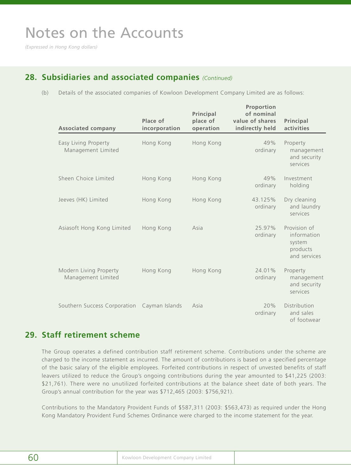*(Expressed in Hong Kong dollars)*

### **28. Subsidiaries and associated companies** *(Continued)*

(b) Details of the associated companies of Kowloon Development Company Limited are as follows:

| <b>Associated company</b>                    | Place of<br>incorporation | Principal<br>place of<br>operation | Proportion<br>of nominal<br>value of shares<br>indirectly held | Principal<br>activities                                           |
|----------------------------------------------|---------------------------|------------------------------------|----------------------------------------------------------------|-------------------------------------------------------------------|
| Easy Living Property<br>Management Limited   | Hong Kong                 | Hong Kong                          | 49%<br>ordinary                                                | Property<br>management<br>and security<br>services                |
| Sheen Choice Limited                         | Hong Kong                 | Hong Kong                          | 49%<br>ordinary                                                | Investment<br>holding                                             |
| Jeeves (HK) Limited                          | Hong Kong                 | Hong Kong                          | 43.125%<br>ordinary                                            | Dry cleaning<br>and laundry<br>services                           |
| Asiasoft Hong Kong Limited                   | Hong Kong                 | Asia                               | 25.97%<br>ordinary                                             | Provision of<br>information<br>system<br>products<br>and services |
| Modern Living Property<br>Management Limited | Hong Kong                 | Hong Kong                          | 24.01%<br>ordinary                                             | Property<br>management<br>and security<br>services                |
| Southern Success Corporation                 | Cayman Islands            | Asia                               | 20%<br>ordinary                                                | Distribution<br>and sales<br>of footwear                          |

## **29. Staff retirement scheme**

The Group operates a defined contribution staff retirement scheme. Contributions under the scheme are charged to the income statement as incurred. The amount of contributions is based on a specified percentage of the basic salary of the eligible employees. Forfeited contributions in respect of unvested benefits of staff leavers utilized to reduce the Group's ongoing contributions during the year amounted to \$41,225 (2003: \$21,761). There were no unutilized forfeited contributions at the balance sheet date of both years. The Group's annual contribution for the year was \$712,465 (2003: \$756,921).

Contributions to the Mandatory Provident Funds of \$587,311 (2003: \$563,473) as required under the Hong Kong Mandatory Provident Fund Schemes Ordinance were charged to the income statement for the year.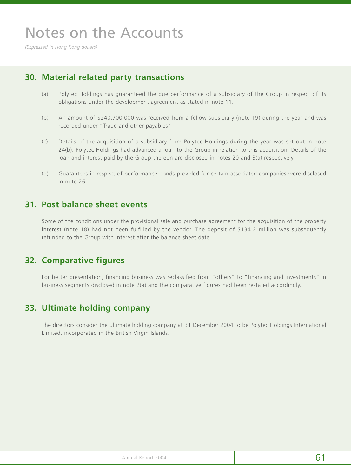*(Expressed in Hong Kong dollars)*

## **30. Material related party transactions**

- (a) Polytec Holdings has guaranteed the due performance of a subsidiary of the Group in respect of its obligations under the development agreement as stated in note 11.
- (b) An amount of \$240,700,000 was received from a fellow subsidiary (note 19) during the year and was recorded under "Trade and other payables".
- (c) Details of the acquisition of a subsidiary from Polytec Holdings during the year was set out in note 24(b). Polytec Holdings had advanced a loan to the Group in relation to this acquisition. Details of the loan and interest paid by the Group thereon are disclosed in notes 20 and 3(a) respectively.
- (d) Guarantees in respect of performance bonds provided for certain associated companies were disclosed in note 26.

### **31. Post balance sheet events**

Some of the conditions under the provisional sale and purchase agreement for the acquisition of the property interest (note 18) had not been fulfilled by the vendor. The deposit of \$134.2 million was subsequently refunded to the Group with interest after the balance sheet date.

### **32. Comparative figures**

For better presentation, financing business was reclassified from "others" to "financing and investments" in business segments disclosed in note 2(a) and the comparative figures had been restated accordingly.

## **33. Ultimate holding company**

The directors consider the ultimate holding company at 31 December 2004 to be Polytec Holdings International Limited, incorporated in the British Virgin Islands.

|  | Annual Report 2004 | 6 |
|--|--------------------|---|
|--|--------------------|---|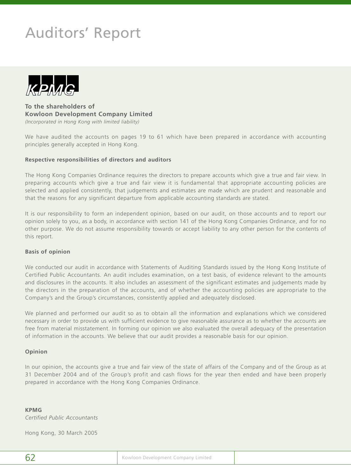# Auditors' Report



**To the shareholders of Kowloon Development Company Limited** *(Incorporated in Hong Kong with limited liability)*

We have audited the accounts on pages 19 to 61 which have been prepared in accordance with accounting principles generally accepted in Hong Kong.

#### **Respective responsibilities of directors and auditors**

The Hong Kong Companies Ordinance requires the directors to prepare accounts which give a true and fair view. In preparing accounts which give a true and fair view it is fundamental that appropriate accounting policies are selected and applied consistently, that judgements and estimates are made which are prudent and reasonable and that the reasons for any significant departure from applicable accounting standards are stated.

It is our responsibility to form an independent opinion, based on our audit, on those accounts and to report our opinion solely to you, as a body, in accordance with section 141 of the Hong Kong Companies Ordinance, and for no other purpose. We do not assume responsibility towards or accept liability to any other person for the contents of this report.

#### **Basis of opinion**

We conducted our audit in accordance with Statements of Auditing Standards issued by the Hong Kong Institute of Certified Public Accountants. An audit includes examination, on a test basis, of evidence relevant to the amounts and disclosures in the accounts. It also includes an assessment of the significant estimates and judgements made by the directors in the preparation of the accounts, and of whether the accounting policies are appropriate to the Company's and the Group's circumstances, consistently applied and adequately disclosed.

We planned and performed our audit so as to obtain all the information and explanations which we considered necessary in order to provide us with sufficient evidence to give reasonable assurance as to whether the accounts are free from material misstatement. In forming our opinion we also evaluated the overall adequacy of the presentation of information in the accounts. We believe that our audit provides a reasonable basis for our opinion.

#### **Opinion**

In our opinion, the accounts give a true and fair view of the state of affairs of the Company and of the Group as at 31 December 2004 and of the Group's profit and cash flows for the year then ended and have been properly prepared in accordance with the Hong Kong Companies Ordinance.

#### **KPMG**

*Certified Public Accountants*

Hong Kong, 30 March 2005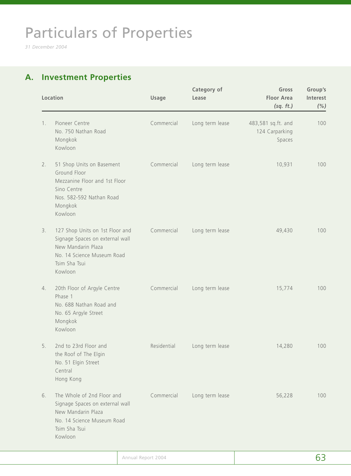# Particulars of Properties

*31 December 2004*

## **A. Investment Properties**

|    | Location                                                                                                                                           | <b>Usage</b> | Category of<br>Lease | Gross<br><b>Floor Area</b><br>(sq. ft.)        | Group's<br>Interest<br>(% ) |
|----|----------------------------------------------------------------------------------------------------------------------------------------------------|--------------|----------------------|------------------------------------------------|-----------------------------|
| 1. | Pioneer Centre<br>No. 750 Nathan Road<br>Mongkok<br>Kowloon                                                                                        | Commercial   | Long term lease      | 483,581 sq.ft. and<br>124 Carparking<br>Spaces | 100                         |
| 2. | 51 Shop Units on Basement<br>Ground Floor<br>Mezzanine Floor and 1st Floor<br>Sino Centre<br>Nos. 582-592 Nathan Road<br>Mongkok<br>Kowloon        | Commercial   | Long term lease      | 10,931                                         | 100                         |
| 3. | 127 Shop Units on 1st Floor and<br>Signage Spaces on external wall<br>New Mandarin Plaza<br>No. 14 Science Museum Road<br>Tsim Sha Tsui<br>Kowloon | Commercial   | Long term lease      | 49,430                                         | 100                         |
| 4. | 20th Floor of Argyle Centre<br>Phase 1<br>No. 688 Nathan Road and<br>No. 65 Argyle Street<br>Mongkok<br>Kowloon                                    | Commercial   | Long term lease      | 15,774                                         | 100                         |
| 5. | 2nd to 23rd Floor and<br>the Roof of The Elgin<br>No. 51 Elgin Street<br>Central<br>Hong Kong                                                      | Residential  | Long term lease      | 14,280                                         | 100                         |
| 6. | The Whole of 2nd Floor and<br>Signage Spaces on external wall<br>New Mandarin Plaza<br>No. 14 Science Museum Road<br>Tsim Sha Tsui<br>Kowloon      | Commercial   | Long term lease      | 56,228                                         | 100                         |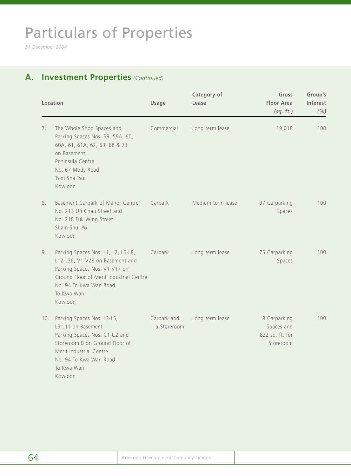# Particulars of Properties

*31 December 2004*

## **A. Investment Properties** *(Continued)*

| Location |                                                                                                                                                                                                      | <b>Usage</b>               | Category of<br>Lease | Gross<br><b>Floor Area</b><br>(sq. ft.)                    | Group's<br>Interest<br>(% ) |
|----------|------------------------------------------------------------------------------------------------------------------------------------------------------------------------------------------------------|----------------------------|----------------------|------------------------------------------------------------|-----------------------------|
| 7.       | The Whole Shop Spaces and<br>Parking Spaces Nos. 59, 59A, 60,<br>60A, 61, 61A, 62, 63, 68 & 73<br>on Basement<br>Peninsula Centre<br>No. 67 Mody Road<br>Tsim Sha Tsui<br>Kowloon                    | Commercial                 | Long term lease      | 19,018                                                     | 100                         |
| 8.       | Basement Carpark of Manor Centre<br>No. 213 Un Chau Street and<br>No. 218 Fuk Wing Street<br>Sham Shui Po<br>Kowloon                                                                                 | Carpark                    | Medium term lease    | 97 Carparking<br>Spaces                                    | 100                         |
| 9.       | Parking Spaces Nos. L1, L2, L6-L8,<br>L12-L36, V1-V28 on Basement and<br>Parking Spaces Nos. V1-V17 on<br>Ground Floor of Merit Industrial Centre<br>No. 94 To Kwa Wan Road<br>To Kwa Wan<br>Kowloon | Carpark                    | Long term lease      | 75 Carparking<br>Spaces                                    | 100                         |
| 10.      | Parking Spaces Nos. L3-L5,<br>L9-L11 on Basement<br>Parking Spaces Nos. C1-C2 and<br>Storeroom B on Ground Floor of<br>Merit Industrial Centre<br>No. 94 To Kwa Wan Road<br>To Kwa Wan<br>Kowloon    | Carpark and<br>a Storeroom | Long term lease      | 8 Carparking<br>Spaces and<br>822 sq. ft. for<br>Storeroom | 100                         |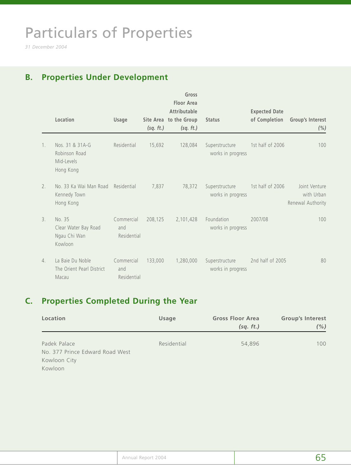# Particulars of Properties

*31 December 2004*

## **B. Properties Under Development**

|         | Location                                                    | Usage                            | (sq. ft.) | Gross<br><b>Floor Area</b><br><b>Attributable</b><br>Site Area to the Group<br>(sq. ft.) | <b>Status</b>                       | <b>Expected Date</b><br>of Completion | Group's Interest<br>$(\% )$                      |
|---------|-------------------------------------------------------------|----------------------------------|-----------|------------------------------------------------------------------------------------------|-------------------------------------|---------------------------------------|--------------------------------------------------|
| $1_{1}$ | Nos. 31 & 31A-G<br>Robinson Road<br>Mid-Levels<br>Hong Kong | Residential                      | 15,692    | 128,084                                                                                  | Superstructure<br>works in progress | 1st half of 2006                      | 100                                              |
| 2.      | No. 33 Ka Wai Man Road<br>Kennedy Town<br>Hong Kong         | Residential                      | 7,837     | 78,372                                                                                   | Superstructure<br>works in progress | 1st half of 2006                      | Joint Venture<br>with Urban<br>Renewal Authority |
| 3.      | No. 35<br>Clear Water Bay Road<br>Ngau Chi Wan<br>Kowloon   | Commercial<br>and<br>Residential | 208,125   | 2,101,428                                                                                | Foundation<br>works in progress     | 2007/08                               | 100                                              |
| 4.      | La Baie Du Noble<br>The Orient Pearl District<br>Macau      | Commercial<br>and<br>Residential | 133,000   | 1,280,000                                                                                | Superstructure<br>works in progress | 2nd half of 2005                      | 80                                               |

## **C. Properties Completed During the Year**

| Location                        | Usage       | <b>Gross Floor Area</b> | <b>Group's Interest</b> |  |
|---------------------------------|-------------|-------------------------|-------------------------|--|
|                                 |             | (sq. ft.)               | (%)                     |  |
|                                 |             |                         |                         |  |
| Padek Palace                    | Residential | 54,896                  | 100                     |  |
| No. 377 Prince Edward Road West |             |                         |                         |  |
| Kowloon City                    |             |                         |                         |  |
| Kowloon                         |             |                         |                         |  |

| Annual Report 2004 | --<br><u>—</u> |
|--------------------|----------------|
|--------------------|----------------|